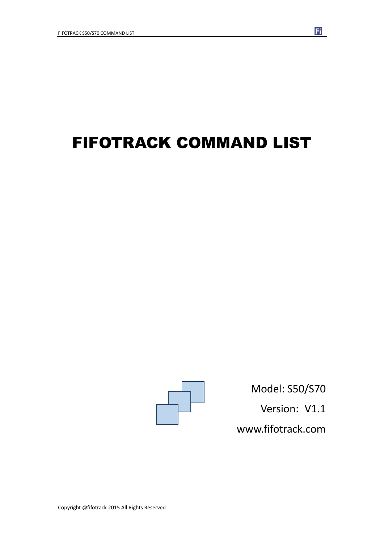# FIFOTRACK COMMAND LIST



Model: S50/S70 Version: V1.1 www.fifotrack.com

Copyright @fifotrack 2015 All Rights Reserved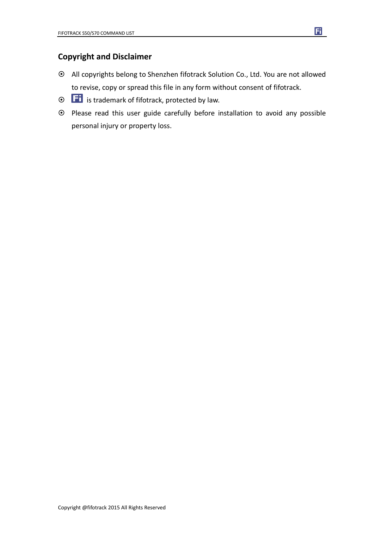#### **Copyright and Disclaimer**

- All copyrights belong to Shenzhen fifotrack Solution Co., Ltd. You are not allowed to revise, copy or spread this file in any form without consent of fifotrack.
- $\odot$   $\Box$  is trademark of fifotrack, protected by law.
- Please read this user guide carefully before installation to avoid any possible personal injury or property loss.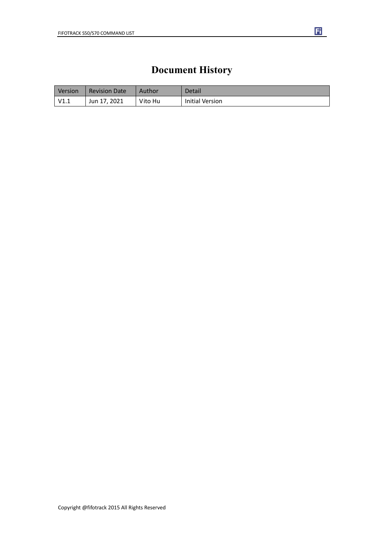### **Document History**

| Version     | <b>Revision Date</b> | Author  | Detail                 |
|-------------|----------------------|---------|------------------------|
| $\mid$ V1.1 | Jun 17, 2021         | Vito Hu | <b>Initial Version</b> |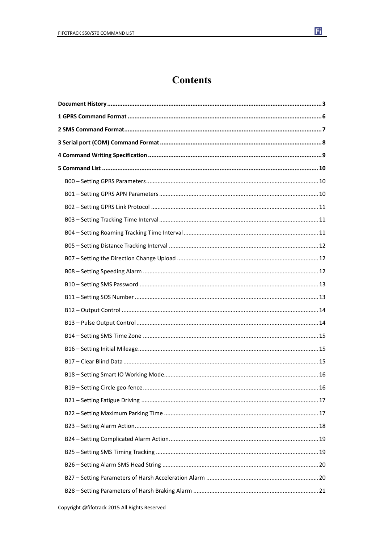

F.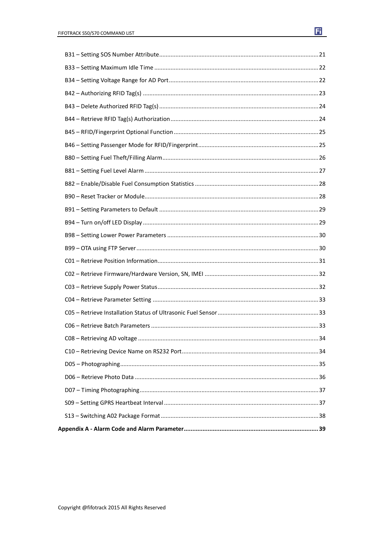| 34 |  |
|----|--|
|    |  |
|    |  |
|    |  |
|    |  |
|    |  |
|    |  |
|    |  |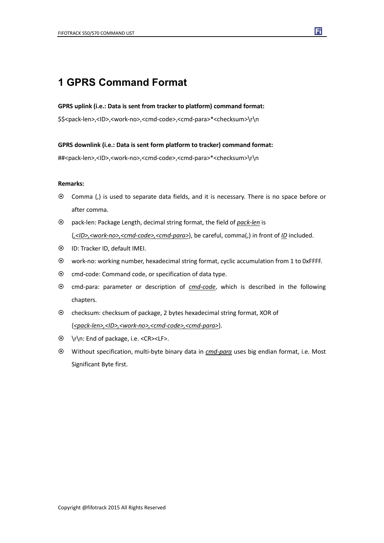### **1 GPRS Command Format**

#### **GPRS uplink (i.e.: Data is sent from tracker to platform) command format:**

\$\$<pack-len>,<ID>,<work-no>,<cmd-code>,<cmd-para>\*<checksum>\r\n

**GPRS downlink (i.e.: Data is sent form platform to tracker) command format:**

##<pack-len>,<ID>,<work-no>,<cmd-code>,<cmd-para>\*<checksum>\r\n

#### **Remarks:**

- Comma (,) is used to separate data fields, and it is necessary. There is no space before or after comma.
- pack-len: Package Length, decimal string format, the field of *pack-len* is {*,<ID>,<work-no>,<cmd-code>,<cmd-para>*}, be careful, comma(,) in front of *ID* included.
- ID: Tracker ID, default IMEI.
- work-no: working number, hexadecimal string format, cyclic accumulation from 1 to 0xFFFF.
- $\odot$  cmd-code: Command code, or specification of data type.
- cmd-para: parameter or description of *cmd-code*, which is described in the following chapters.
- checksum: checksum of package, 2 bytes hexadecimal string format, XOR of {*<pack-len>,<ID>,<work-no>,<cmd-code>,<cmd-para>*}.
- \r\n: End of package, i.e. <CR><LF>.
- Without specification, multi-byte binary data in *cmd-para* uses big endian format, i.e. Most Significant Byte first.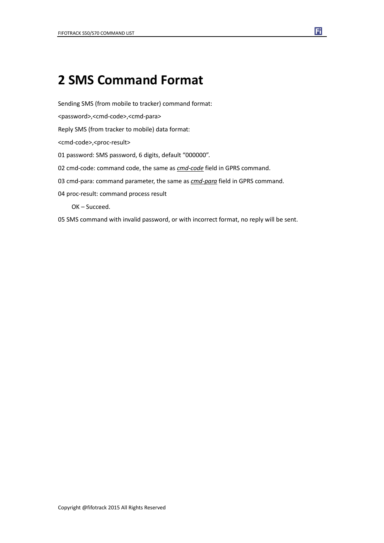## **2 SMS Command Format**

Sending SMS (from mobile to tracker) command format:

<password>,<cmd-code>,<cmd-para>

Reply SMS (from tracker to mobile) data format:

<cmd-code>,<proc-result>

01 password: SMS password, 6 digits, default "000000".

02 cmd-code: command code, the same as *cmd-code* field in GPRS command.

03 cmd-para: command parameter, the same as *cmd-para* field in GPRS command.

04 proc-result: command process result

OK – Succeed.

05 SMS command with invalid password, or with incorrect format, no reply will be sent.

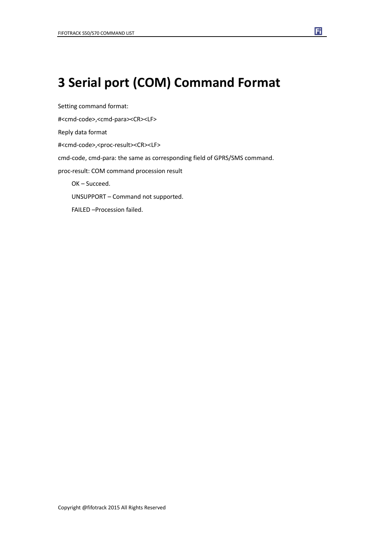## **3 Serial port (COM) Command Format**

Setting command format: #<cmd-code>,<cmd-para><CR><LF> Reply data format #<cmd-code>,<proc-result><CR><LF> cmd-code, cmd-para: the same as corresponding field of GPRS/SMS command. proc-result: COM command procession result OK – Succeed. UNSUPPORT – Command not supported. FAILED –Procession failed.

固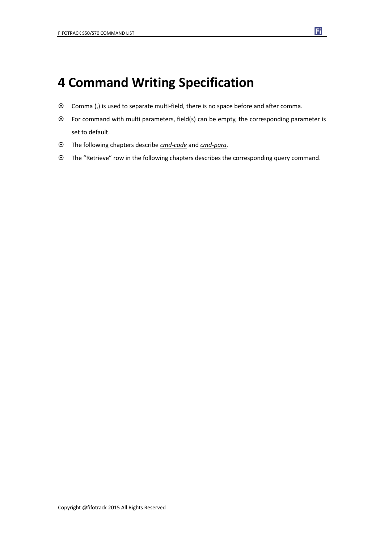## **4 Command Writing Specification**

- Comma (,) is used to separate multi-field, there is no space before and after comma.
- For command with multi parameters, field(s) can be empty, the corresponding parameter is set to default.
- The following chapters describe *cmd-code* and *cmd-para.*
- The "Retrieve" row in the following chapters describes the corresponding query command.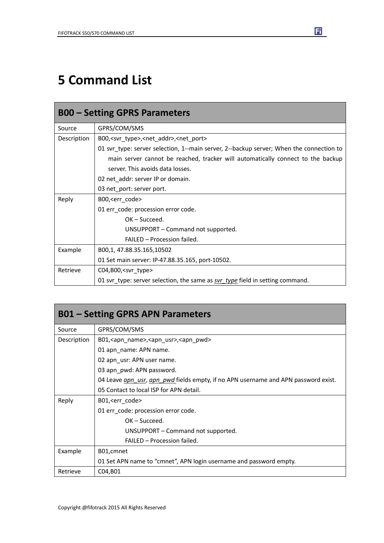## **5 Command List**

| <b>B00 - Setting GPRS Parameters</b> |                                                                                         |
|--------------------------------------|-----------------------------------------------------------------------------------------|
| Source                               | GPRS/COM/SMS                                                                            |
| Description                          | B00, <svr_type>,<net_addr>,<net_port></net_port></net_addr></svr_type>                  |
|                                      | 01 svr_type: server selection, 1--main server, 2--backup server; When the connection to |
|                                      | main server cannot be reached, tracker will automatically connect to the backup         |
|                                      | server. This avoids data losses.                                                        |
|                                      | 02 net_addr: server IP or domain.                                                       |
|                                      | 03 net_port: server port.                                                               |
| Reply                                | B00, <err code=""></err>                                                                |
|                                      | 01 err_code: procession error code.                                                     |
|                                      | $OK - Succeed.$                                                                         |
|                                      | UNSUPPORT – Command not supported.                                                      |
|                                      | FAILED - Procession failed.                                                             |
| Example                              | B00,1, 47.88.35.165,10502                                                               |
|                                      | 01 Set main server: IP-47.88.35.165, port-10502.                                        |
| Retrieve                             | $CO4, B00,$ <svr type=""></svr>                                                         |
|                                      | 01 svr_type: server selection, the same as svr_type field in setting command.           |

| <b>B01 – Setting GPRS APN Parameters</b> |                                                                                           |
|------------------------------------------|-------------------------------------------------------------------------------------------|
| Source                                   | GPRS/COM/SMS                                                                              |
| Description                              | B01, <apn_name>,<apn_usr>,<apn_pwd></apn_pwd></apn_usr></apn_name>                        |
|                                          | 01 apn_name: APN name.                                                                    |
|                                          | 02 apn_usr: APN user name.                                                                |
|                                          | 03 apn_pwd: APN password.                                                                 |
|                                          | 04 Leave <i>apn usr, apn pwd</i> fields empty, if no APN username and APN password exist. |
|                                          | 05 Contact to local ISP for APN detail.                                                   |
| Reply                                    | B01, <err_code></err_code>                                                                |
|                                          | 01 err code: procession error code.                                                       |
|                                          | $OK - Succeed.$                                                                           |
|                                          | UNSUPPORT – Command not supported.                                                        |
|                                          | FAILED - Procession failed.                                                               |
| Example                                  | B01, cmnet                                                                                |
|                                          | 01 Set APN name to "cmnet", APN login username and password empty.                        |
| Retrieve                                 | C04, B01                                                                                  |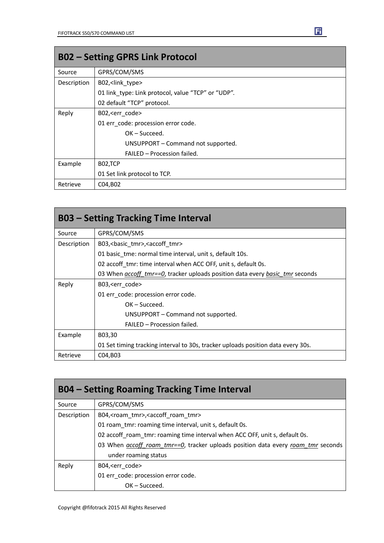| <b>B02 - Setting GPRS Link Protocol</b> |                                                    |
|-----------------------------------------|----------------------------------------------------|
| Source                                  | GPRS/COM/SMS                                       |
| Description                             | B02, <link type=""/>                               |
|                                         | 01 link_type: Link protocol, value "TCP" or "UDP". |
|                                         | 02 default "TCP" protocol.                         |
| Reply                                   | B02, <err code=""></err>                           |
|                                         | 01 err code: procession error code.                |
|                                         | $OK - Succeed.$                                    |
|                                         | UNSUPPORT - Command not supported.                 |
|                                         | FAILED - Procession failed.                        |
| Example                                 | B02,TCP                                            |
|                                         | 01 Set link protocol to TCP.                       |
| Retrieve                                | C04, B02                                           |

| <b>B03 – Setting Tracking Time Interval</b> |                                                                                     |  |
|---------------------------------------------|-------------------------------------------------------------------------------------|--|
| Source                                      | GPRS/COM/SMS                                                                        |  |
| Description                                 | B03,<br>basic_tmr>, <accoff_tmr></accoff_tmr>                                       |  |
|                                             | 01 basic tme: normal time interval, unit s, default 10s.                            |  |
|                                             | 02 accoff tmr: time interval when ACC OFF, unit s, default 0s.                      |  |
|                                             | 03 When <i>accoff</i> tmr==0, tracker uploads position data every basic tmr seconds |  |
| Reply                                       | B03, <err code=""></err>                                                            |  |
|                                             | 01 err_code: procession error code.                                                 |  |
|                                             | $OK - Succeed.$                                                                     |  |
|                                             | UNSUPPORT – Command not supported.                                                  |  |
|                                             | FAILED - Procession failed.                                                         |  |
| Example                                     | B03,30                                                                              |  |
|                                             | 01 Set timing tracking interval to 30s, tracker uploads position data every 30s.    |  |
| Retrieve                                    | C04, B03                                                                            |  |

| <b>B04 – Setting Roaming Tracking Time Interval</b> |                                                                                                 |  |
|-----------------------------------------------------|-------------------------------------------------------------------------------------------------|--|
| Source                                              | GPRS/COM/SMS                                                                                    |  |
| Description                                         | B04, < roam_tmr>, < accoff_roam_tmr>                                                            |  |
|                                                     | 01 roam tmr: roaming time interval, unit s, default 0s.                                         |  |
|                                                     | 02 accoff_roam_tmr: roaming time interval when ACC OFF, unit s, default 0s.                     |  |
|                                                     | 03 When <i>accoff roam tmr==0</i> , tracker uploads position data every <i>roam tmr</i> seconds |  |
|                                                     | under roaming status                                                                            |  |
| Reply                                               | B04, <err code=""></err>                                                                        |  |
|                                                     | 01 err_code: procession error code.                                                             |  |
|                                                     | $OK - Succeed.$                                                                                 |  |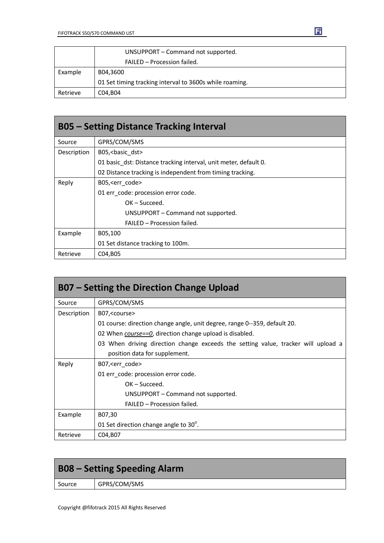

|          | UNSUPPORT - Command not supported.                      |
|----------|---------------------------------------------------------|
|          | FAILED - Procession failed.                             |
| Example  | B04.3600                                                |
|          | 01 Set timing tracking interval to 3600s while roaming. |
| Retrieve | C04.B04                                                 |

| <b>B05 - Setting Distance Tracking Interval</b> |                                                                  |  |
|-------------------------------------------------|------------------------------------------------------------------|--|
| Source                                          | GPRS/COM/SMS                                                     |  |
| Description                                     | B05, < basic dst>                                                |  |
|                                                 | 01 basic dst: Distance tracking interval, unit meter, default 0. |  |
|                                                 | 02 Distance tracking is independent from timing tracking.        |  |
| Reply                                           | B05, < err code >                                                |  |
|                                                 | 01 err code: procession error code.                              |  |
|                                                 | $OK - Succeed.$                                                  |  |
|                                                 | UNSUPPORT - Command not supported.                               |  |
|                                                 | FAILED – Procession failed.                                      |  |
| Example                                         | B05,100                                                          |  |
|                                                 | 01 Set distance tracking to 100m.                                |  |
| Retrieve                                        | C04, B05                                                         |  |

| B07 – Setting the Direction Change Upload |                                                                                   |  |
|-------------------------------------------|-----------------------------------------------------------------------------------|--|
| Source                                    | GPRS/COM/SMS                                                                      |  |
| Description                               | B07, < course                                                                     |  |
|                                           | 01 course: direction change angle, unit degree, range 0--359, default 20.         |  |
|                                           | 02 When <i>course==0</i> , direction change upload is disabled.                   |  |
|                                           | 03 When driving direction change exceeds the setting value, tracker will upload a |  |
|                                           | position data for supplement.                                                     |  |
| Reply                                     | B07, < err code >                                                                 |  |
|                                           | 01 err code: procession error code.                                               |  |
|                                           | $OK - Succeed.$                                                                   |  |
|                                           | UNSUPPORT – Command not supported.                                                |  |
|                                           | FAILED - Procession failed.                                                       |  |
| Example                                   | B07,30                                                                            |  |
|                                           | 01 Set direction change angle to $30^\circ$ .                                     |  |
| Retrieve                                  | C04, B07                                                                          |  |

| <b>B08 – Setting Speeding Alarm</b> |              |
|-------------------------------------|--------------|
| Source                              | GPRS/COM/SMS |
|                                     |              |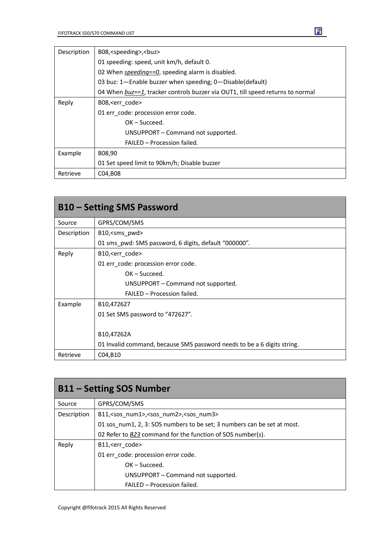| Description | B08, <speeding>,<br/>&gt;buz&gt;</speeding>                                    |
|-------------|--------------------------------------------------------------------------------|
|             | 01 speeding: speed, unit km/h, default 0.                                      |
|             | 02 When speeding==0, speeding alarm is disabled.                               |
|             | 03 buz: 1-Enable buzzer when speeding; 0-Disable(default)                      |
|             | 04 When buz==1, tracker controls buzzer via OUT1, till speed returns to normal |
| Reply       | B08, <err code=""></err>                                                       |
|             | 01 err code: procession error code.                                            |
|             | $OK - Succeed.$                                                                |
|             | UNSUPPORT - Command not supported.                                             |
|             | FAILED - Procession failed.                                                    |
| Example     | B08,90                                                                         |
|             | 01 Set speed limit to 90km/h; Disable buzzer                                   |
| Retrieve    | C04, B08                                                                       |

| <b>B10 – Setting SMS Password</b> |                                                                         |
|-----------------------------------|-------------------------------------------------------------------------|
| Source                            | GPRS/COM/SMS                                                            |
| Description                       | B10, <sms_pwd></sms_pwd>                                                |
|                                   | 01 sms pwd: SMS password, 6 digits, default "000000".                   |
| Reply                             | B10, <err code=""></err>                                                |
|                                   | 01 err code: procession error code.                                     |
|                                   | $OK - Succeed.$                                                         |
|                                   | UNSUPPORT – Command not supported.                                      |
|                                   | FAILED - Procession failed.                                             |
| Example                           | B <sub>10</sub> ,472627                                                 |
|                                   | 01 Set SMS password to "472627".                                        |
|                                   | B10,47262A                                                              |
|                                   | 01 Invalid command, because SMS password needs to be a 6 digits string. |
| Retrieve                          | C04, B10                                                                |

| <b>B11 - Setting SOS Number</b> |                                                                         |
|---------------------------------|-------------------------------------------------------------------------|
| Source                          | GPRS/COM/SMS                                                            |
| Description                     | B11, <sos num1="">,<sos num2="">,<sos num3=""></sos></sos></sos>        |
|                                 | 01 sos num1, 2, 3: SOS numbers to be set; 3 numbers can be set at most. |
|                                 | 02 Refer to B23 command for the function of SOS number(s).              |
| Reply                           | B11, <err code=""></err>                                                |
|                                 | 01 err code: procession error code.                                     |
|                                 | $OK - Succeed.$                                                         |
|                                 | UNSUPPORT - Command not supported.                                      |
|                                 | FAILED - Procession failed.                                             |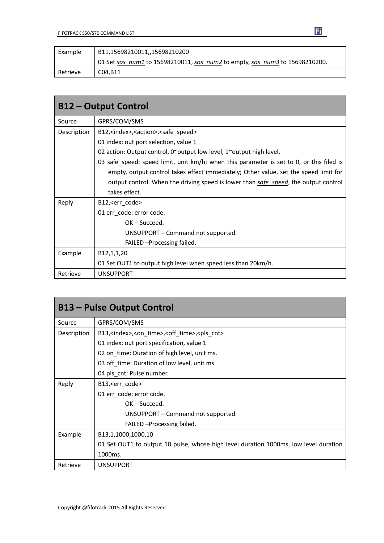| Example  | B11,15698210011,,15698210200                                                |
|----------|-----------------------------------------------------------------------------|
|          | 01 Set sos num1 to 15698210011, sos_num2 to empty, sos_num3 to 15698210200. |
| Retrieve | C04.B11                                                                     |

Ei

| <b>B12 - Output Control</b> |                                                                                          |
|-----------------------------|------------------------------------------------------------------------------------------|
| Source                      | GPRS/COM/SMS                                                                             |
| Description                 | B12, <index>, <action>, <safe speed=""></safe></action></index>                          |
|                             | 01 index: out port selection, value 1                                                    |
|                             | 02 action: Output control, $0^{\sim}$ output low level, 1 $^{\sim}$ output high level.   |
|                             | 03 safe_speed: speed limit, unit km/h; when this parameter is set to 0, or this filed is |
|                             | empty, output control takes effect immediately; Other value, set the speed limit for     |
|                             | output control. When the driving speed is lower than safe speed, the output control      |
|                             | takes effect.                                                                            |
| Reply                       | B12, <err code=""></err>                                                                 |
|                             | 01 err code: error code.                                                                 |
|                             | $OK - Succed.$                                                                           |
|                             | UNSUPPORT – Command not supported.                                                       |
|                             | FAILED - Processing failed.                                                              |
| Example                     | B12,1,1,20                                                                               |
|                             | 01 Set OUT1 to output high level when speed less than 20km/h.                            |
| Retrieve                    | <b>UNSUPPORT</b>                                                                         |

| <b>B13 – Pulse Output Control</b> |                                                                                      |
|-----------------------------------|--------------------------------------------------------------------------------------|
| Source                            | GPRS/COM/SMS                                                                         |
| Description                       | B13, <index>,<on_time>,<off_time>,<pls_cnt></pls_cnt></off_time></on_time></index>   |
|                                   | 01 index: out port specification, value 1                                            |
|                                   | 02 on_time: Duration of high level, unit ms.                                         |
|                                   | 03 off_time: Duration of low level, unit ms.                                         |
|                                   | 04 pls_cnt: Pulse number.                                                            |
| Reply                             | B13, <err_code></err_code>                                                           |
|                                   | 01 err_code: error code.                                                             |
|                                   | $OK - Succeed.$                                                                      |
|                                   | UNSUPPORT - Command not supported.                                                   |
|                                   | FAILED - Processing failed.                                                          |
| Example                           | B13,1,1000,1000,10                                                                   |
|                                   | 01 Set OUT1 to output 10 pulse, whose high level duration 1000ms, low level duration |
|                                   | 1000ms.                                                                              |
| Retrieve                          | <b>UNSUPPORT</b>                                                                     |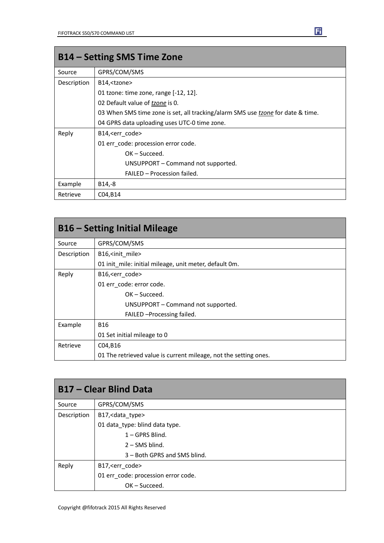| B14 – Setting SMS Time Zone |                                                                                 |
|-----------------------------|---------------------------------------------------------------------------------|
| Source                      | GPRS/COM/SMS                                                                    |
| Description                 | B14, <tzone></tzone>                                                            |
|                             | 01 tzone: time zone, range $[-12, 12]$ .                                        |
|                             | 02 Default value of <i>tzone</i> is 0.                                          |
|                             | 03 When SMS time zone is set, all tracking/alarm SMS use tzone for date & time. |
|                             | 04 GPRS data uploading uses UTC-0 time zone.                                    |
| Reply                       | B14, <err code=""></err>                                                        |
|                             | 01 err code: procession error code.                                             |
|                             | $OK - Succeed.$                                                                 |
|                             | UNSUPPORT – Command not supported.                                              |
|                             | FAILED - Procession failed.                                                     |
| Example                     | B <sub>14</sub> ,-8                                                             |
| Retrieve                    | C04, B14                                                                        |

| <b>B16 – Setting Initial Mileage</b> |                                                                  |
|--------------------------------------|------------------------------------------------------------------|
| Source                               | GPRS/COM/SMS                                                     |
| Description                          | B16, <init mile=""></init>                                       |
|                                      | 01 init mile: initial mileage, unit meter, default 0m.           |
| Reply                                | B16, <err code=""></err>                                         |
|                                      | 01 err code: error code.                                         |
|                                      | $OK - Succeed.$                                                  |
|                                      | UNSUPPORT – Command not supported.                               |
|                                      | FAILED - Processing failed.                                      |
| Example                              | <b>B16</b>                                                       |
|                                      | 01 Set initial mileage to 0                                      |
| Retrieve                             | C04, B16                                                         |
|                                      | 01 The retrieved value is current mileage, not the setting ones. |

| <b>B17 - Clear Blind Data</b> |                                     |
|-------------------------------|-------------------------------------|
| Source                        | GPRS/COM/SMS                        |
| Description                   | B17, < data_type>                   |
|                               | 01 data_type: blind data type.      |
|                               | $1 - GPRS$ Blind.                   |
|                               | $2 -$ SMS blind.                    |
|                               | 3 – Both GPRS and SMS blind.        |
| Reply                         | B17, <err code=""></err>            |
|                               | 01 err_code: procession error code. |
|                               | $OK - Succeed.$                     |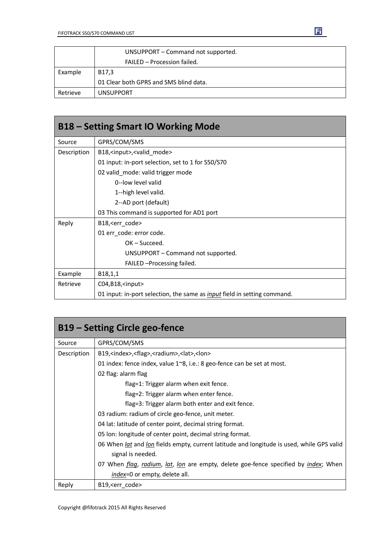

|          | UNSUPPORT - Command not supported.     |
|----------|----------------------------------------|
|          | FAILED - Procession failed.            |
| Example  | B17.3                                  |
|          | 01 Clear both GPRS and SMS blind data. |
| Retrieve | <b>UNSUPPORT</b>                       |

| <b>B18 - Setting Smart IO Working Mode</b> |                                                                                 |
|--------------------------------------------|---------------------------------------------------------------------------------|
| Source                                     | GPRS/COM/SMS                                                                    |
| Description                                | B18, <input/> , <valid_mode></valid_mode>                                       |
|                                            | 01 input: in-port selection, set to 1 for S50/S70                               |
|                                            | 02 valid_mode: valid trigger mode                                               |
|                                            | 0--low level valid                                                              |
|                                            | 1--high level valid.                                                            |
|                                            | 2--AD port (default)                                                            |
|                                            | 03 This command is supported for AD1 port                                       |
| Reply                                      | B18, <err_code></err_code>                                                      |
|                                            | 01 err code: error code.                                                        |
|                                            | $OK - Succeed.$                                                                 |
|                                            | UNSUPPORT - Command not supported.                                              |
|                                            | FAILED - Processing failed.                                                     |
| Example                                    | B18,1,1                                                                         |
| Retrieve                                   | C04, B18, <input/>                                                              |
|                                            | 01 input: in-port selection, the same as <i>input</i> field in setting command. |

| B19 – Setting Circle geo-fence |                                                                                           |  |
|--------------------------------|-------------------------------------------------------------------------------------------|--|
| Source                         | GPRS/COM/SMS                                                                              |  |
| Description                    | B19, <index>,<flag>,<radium>,<lat>,<lon></lon></lat></radium></flag></index>              |  |
|                                | 01 index: fence index, value $1^{\circ}8$ , i.e.: 8 geo-fence can be set at most.         |  |
|                                | 02 flag: alarm flag                                                                       |  |
|                                | flag=1: Trigger alarm when exit fence.                                                    |  |
|                                | flag=2: Trigger alarm when enter fence.                                                   |  |
|                                | flag=3: Trigger alarm both enter and exit fence.                                          |  |
|                                | 03 radium: radium of circle geo-fence, unit meter.                                        |  |
|                                | 04 lat: latitude of center point, decimal string format.                                  |  |
|                                | 05 Ion: longitude of center point, decimal string format.                                 |  |
|                                | 06 When lat and lon fields empty, current latitude and longitude is used, while GPS valid |  |
|                                | signal is needed.                                                                         |  |
|                                | 07 When flag, radium, lat, lon are empty, delete goe-fence specified by index; When       |  |
|                                | index=0 or empty, delete all.                                                             |  |
| Reply                          | B19, <err code=""></err>                                                                  |  |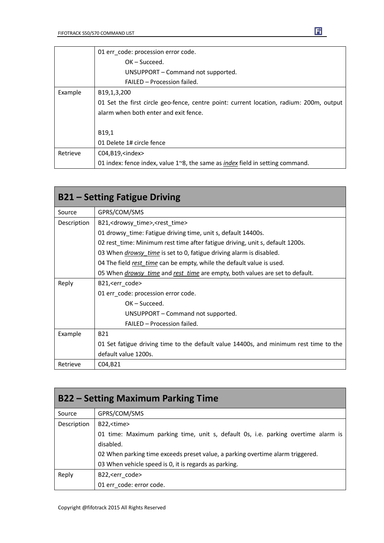|          | 01 err code: procession error code.                                                           |
|----------|-----------------------------------------------------------------------------------------------|
|          | $OK - Succeed.$                                                                               |
|          | UNSUPPORT – Command not supported.                                                            |
|          | FAILED - Procession failed.                                                                   |
| Example  | B19,1,3,200                                                                                   |
|          | 01 Set the first circle geo-fence, centre point: current location, radium: 200m, output       |
|          | alarm when both enter and exit fence.                                                         |
|          |                                                                                               |
|          | B19,1                                                                                         |
|          | 01 Delete 1# circle fence                                                                     |
| Retrieve | $CO4, B19, \text{sindex}$                                                                     |
|          | 01 index: fence index, value $1^{\sim}8$ , the same as <i>index</i> field in setting command. |

| <b>B21 – Setting Fatigue Driving</b> |                                                                                            |
|--------------------------------------|--------------------------------------------------------------------------------------------|
| Source                               | GPRS/COM/SMS                                                                               |
| Description                          | B21, <drowsy_time>,<rest_time></rest_time></drowsy_time>                                   |
|                                      | 01 drowsy_time: Fatigue driving time, unit s, default 14400s.                              |
|                                      | 02 rest time: Minimum rest time after fatigue driving, unit s, default 1200s.              |
|                                      | 03 When <i>drowsy time</i> is set to 0, fatigue driving alarm is disabled.                 |
|                                      | 04 The field rest time can be empty, while the default value is used.                      |
|                                      | 05 When <i>drowsy_time</i> and <i>rest_time</i> are empty, both values are set to default. |
| Reply                                | B21, <err code=""></err>                                                                   |
|                                      | 01 err code: procession error code.                                                        |
|                                      | $OK - Succeed.$                                                                            |
|                                      | UNSUPPORT – Command not supported.                                                         |
|                                      | <b>FAILED - Procession failed.</b>                                                         |
| Example                              | <b>B21</b>                                                                                 |
|                                      | 01 Set fatigue driving time to the default value 14400s, and minimum rest time to the      |
|                                      | default value 1200s.                                                                       |
| Retrieve                             | C04, B21                                                                                   |

| <b>B22 – Setting Maximum Parking Time</b> |                                                                                   |
|-------------------------------------------|-----------------------------------------------------------------------------------|
| Source                                    | GPRS/COM/SMS                                                                      |
| Description                               | B22, <time></time>                                                                |
|                                           | 01 time: Maximum parking time, unit s, default 0s, i.e. parking overtime alarm is |
|                                           | disabled.                                                                         |
|                                           | 02 When parking time exceeds preset value, a parking overtime alarm triggered.    |
|                                           | 03 When vehicle speed is 0, it is regards as parking.                             |
| Reply                                     | B22, <err code=""></err>                                                          |
|                                           | 01 err_code: error code.                                                          |

団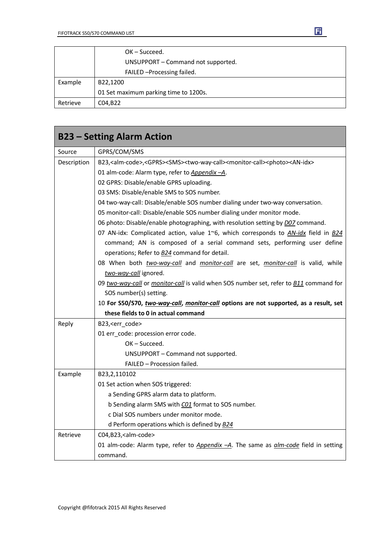|          | $OK - Succeed.$                       |
|----------|---------------------------------------|
|          | UNSUPPORT - Command not supported.    |
|          | FAILED - Processing failed.           |
| Example  | B22,1200                              |
|          | 01 Set maximum parking time to 1200s. |
| Retrieve | C04, B22                              |

| <b>B23 - Setting Alarm Action</b> |                                                                                                                                               |
|-----------------------------------|-----------------------------------------------------------------------------------------------------------------------------------------------|
| Source                            | GPRS/COM/SMS                                                                                                                                  |
| Description                       | B23, <alm-code>,<gprs><sms><two-way-call><monitor-call><photo><an-idx></an-idx></photo></monitor-call></two-way-call></sms></gprs></alm-code> |
|                                   | 01 alm-code: Alarm type, refer to Appendix -A.                                                                                                |
|                                   | 02 GPRS: Disable/enable GPRS uploading.                                                                                                       |
|                                   | 03 SMS: Disable/enable SMS to SOS number.                                                                                                     |
|                                   | 04 two-way-call: Disable/enable SOS number dialing under two-way conversation.                                                                |
|                                   | 05 monitor-call: Disable/enable SOS number dialing under monitor mode.                                                                        |
|                                   | 06 photo: Disable/enable photographing, with resolution setting by <i>D07</i> command.                                                        |
|                                   | 07 AN-idx: Complicated action, value 1~6, which corresponds to $AN$ -idx field in B24                                                         |
|                                   | command; AN is composed of a serial command sets, performing user define                                                                      |
|                                   | operations; Refer to <b>B24</b> command for detail.                                                                                           |
|                                   | 08 When both two-way-call and monitor-call are set, monitor-call is valid, while                                                              |
|                                   | two-way-call ignored.                                                                                                                         |
|                                   | 09 two-way-call or monitor-call is valid when SOS number set, refer to <b>B11</b> command for                                                 |
|                                   | SOS number(s) setting.                                                                                                                        |
|                                   | 10 For S50/S70, two-way-call, monitor-call options are not supported, as a result, set                                                        |
|                                   | these fields to 0 in actual command                                                                                                           |
| Reply                             | B23, <err_code></err_code>                                                                                                                    |
|                                   | 01 err_code: procession error code.                                                                                                           |
|                                   | OK-Succeed.                                                                                                                                   |
|                                   | UNSUPPORT - Command not supported.                                                                                                            |
|                                   | FAILED - Procession failed.                                                                                                                   |
| Example                           | B23,2,110102                                                                                                                                  |
|                                   | 01 Set action when SOS triggered:                                                                                                             |
|                                   | a Sending GPRS alarm data to platform.                                                                                                        |
|                                   | b Sending alarm SMS with CO1 format to SOS number.                                                                                            |
|                                   | c Dial SOS numbers under monitor mode.                                                                                                        |
|                                   | d Perform operations which is defined by $B24$                                                                                                |
| Retrieve                          | C04,B23, <alm-code></alm-code>                                                                                                                |
|                                   | 01 alm-code: Alarm type, refer to Appendix -A. The same as alm-code field in setting                                                          |
|                                   | command.                                                                                                                                      |

団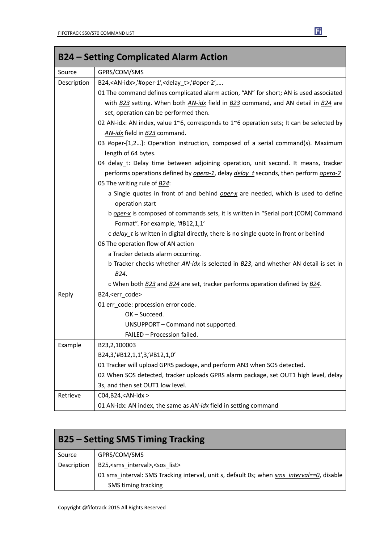| <b>B24 – Setting Complicated Alarm Action</b> |                                                                                                   |
|-----------------------------------------------|---------------------------------------------------------------------------------------------------|
| Source                                        | GPRS/COM/SMS                                                                                      |
| Description                                   | B24, <an-idx>,'#oper-1',<delay_t>,'#oper-2',</delay_t></an-idx>                                   |
|                                               | 01 The command defines complicated alarm action, "AN" for short; AN is used associated            |
|                                               | with B23 setting. When both AN-idx field in B23 command, and AN detail in B24 are                 |
|                                               | set, operation can be performed then.                                                             |
|                                               | 02 AN-idx: AN index, value 1~6, corresponds to 1~6 operation sets; It can be selected by          |
|                                               | AN-idx field in B23 command.                                                                      |
|                                               | 03 #oper-[1,2]: Operation instruction, composed of a serial command(s). Maximum                   |
|                                               | length of 64 bytes.                                                                               |
|                                               | 04 delay_t: Delay time between adjoining operation, unit second. It means, tracker                |
|                                               | performs operations defined by opera-1, delay delay t seconds, then perform opera-2               |
|                                               | 05 The writing rule of B24:                                                                       |
|                                               | a Single quotes in front of and behind <i>oper-x</i> are needed, which is used to define          |
|                                               | operation start                                                                                   |
|                                               | b oper-x is composed of commands sets, it is written in "Serial port (COM) Command                |
|                                               | Format". For example, '#B12,1,1'                                                                  |
|                                               | c delay_t is written in digital directly, there is no single quote in front or behind             |
|                                               | 06 The operation flow of AN action                                                                |
|                                               | a Tracker detects alarm occurring.                                                                |
|                                               | b Tracker checks whether AN-idx is selected in B23, and whether AN detail is set in               |
|                                               | B24.                                                                                              |
|                                               | c When both <b>B23</b> and <b>B24</b> are set, tracker performs operation defined by <b>B24</b> . |
| Reply                                         | B24, <err_code></err_code>                                                                        |
|                                               | 01 err_code: procession error code.                                                               |
|                                               | OK-Succeed.                                                                                       |
|                                               | UNSUPPORT - Command not supported.                                                                |
|                                               | FAILED - Procession failed.                                                                       |
| Example                                       | B23,2,100003                                                                                      |
|                                               | B24,3,'#B12,1,1',3,'#B12,1,0'                                                                     |
|                                               | 01 Tracker will upload GPRS package, and perform AN3 when SOS detected.                           |
|                                               | 02 When SOS detected, tracker uploads GPRS alarm package, set OUT1 high level, delay              |
|                                               | 3s, and then set OUT1 low level.                                                                  |
| Retrieve                                      | C04, B24, <an-idx></an-idx>                                                                       |
|                                               | 01 AN-idx: AN index, the same as <b>AN-idx</b> field in setting command                           |

| <b>B25 – Setting SMS Timing Tracking</b> |                                                                                           |
|------------------------------------------|-------------------------------------------------------------------------------------------|
| Source                                   | GPRS/COM/SMS                                                                              |
| Description                              | B25, <sms interval="">,<sos list=""></sos></sms>                                          |
|                                          | 01 sms interval: SMS Tracking interval, unit s, default 0s; when sms interval==0, disable |
|                                          | SMS timing tracking                                                                       |

Fi

m.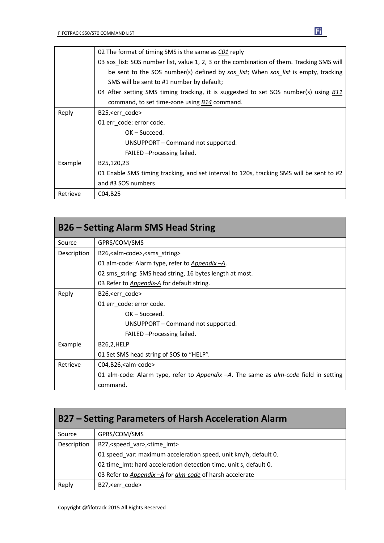|          | 02 The format of timing SMS is the same as CO1 reply                                      |
|----------|-------------------------------------------------------------------------------------------|
|          | 03 sos_list: SOS number list, value 1, 2, 3 or the combination of them. Tracking SMS will |
|          | be sent to the SOS number(s) defined by sos list; When sos list is empty, tracking        |
|          | SMS will be sent to #1 number by default;                                                 |
|          | 04 After setting SMS timing tracking, it is suggested to set SOS number(s) using B11      |
|          | command, to set time-zone using B14 command.                                              |
| Reply    | B25, <err code=""></err>                                                                  |
|          | 01 err code: error code.                                                                  |
|          | OK – Succeed.                                                                             |
|          | UNSUPPORT – Command not supported.                                                        |
|          | FAILED - Processing failed.                                                               |
| Example  | B25,120,23                                                                                |
|          | 01 Enable SMS timing tracking, and set interval to 120s, tracking SMS will be sent to #2  |
|          | and #3 SOS numbers                                                                        |
| Retrieve | C04, B25                                                                                  |

| <b>B26 – Setting Alarm SMS Head String</b> |                                                                                             |
|--------------------------------------------|---------------------------------------------------------------------------------------------|
| Source                                     | GPRS/COM/SMS                                                                                |
| Description                                | B26, <alm-code>, <sms string=""></sms></alm-code>                                           |
|                                            | 01 alm-code: Alarm type, refer to <i>Appendix -A</i> .                                      |
|                                            | 02 sms string: SMS head string, 16 bytes length at most.                                    |
|                                            | 03 Refer to <i>Appendix-A</i> for default string.                                           |
| Reply                                      | B26, <err code=""></err>                                                                    |
|                                            | 01 err_code: error code.                                                                    |
|                                            | $OK - Succeed.$                                                                             |
|                                            | UNSUPPORT – Command not supported.                                                          |
|                                            | FAILED - Processing failed.                                                                 |
| Example                                    | B26,2,HELP                                                                                  |
|                                            | 01 Set SMS head string of SOS to "HELP".                                                    |
| Retrieve                                   | C04,B26, <alm-code></alm-code>                                                              |
|                                            | 01 alm-code: Alarm type, refer to Appendix -A. The same as <i>alm-code</i> field in setting |
|                                            | command.                                                                                    |

| B27 – Setting Parameters of Harsh Acceleration Alarm |                                                                   |
|------------------------------------------------------|-------------------------------------------------------------------|
| Source                                               | GPRS/COM/SMS                                                      |
| Description                                          | B27, <speed var="">, <time lmt=""></time></speed>                 |
|                                                      | 01 speed_var: maximum acceleration speed, unit km/h, default 0.   |
|                                                      | 02 time Imt: hard acceleration detection time, unit s, default 0. |
|                                                      | 03 Refer to Appendix - A for alm-code of harsh accelerate         |
| Reply                                                | B27, <err code=""></err>                                          |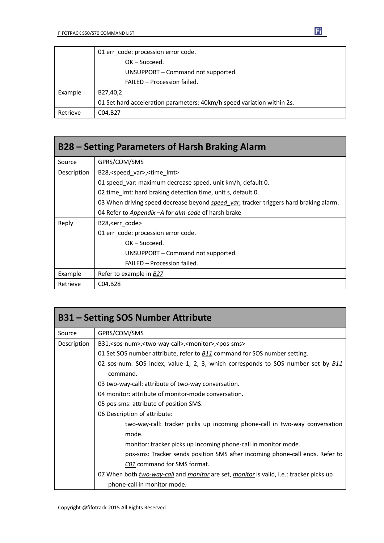|          | 01 err code: procession error code.                                    |
|----------|------------------------------------------------------------------------|
|          | $OK - Succeed.$                                                        |
|          | UNSUPPORT - Command not supported.                                     |
|          | FAILED - Procession failed.                                            |
| Example  | B27,40,2                                                               |
|          | 01 Set hard acceleration parameters: 40km/h speed variation within 2s. |
| Retrieve | C04, B27                                                               |

| <b>B28 – Setting Parameters of Harsh Braking Alarm</b> |                                                                                               |
|--------------------------------------------------------|-----------------------------------------------------------------------------------------------|
| Source                                                 | GPRS/COM/SMS                                                                                  |
| Description                                            | B28, <speed_var>,<time_lmt></time_lmt></speed_var>                                            |
|                                                        | 01 speed var: maximum decrease speed, unit km/h, default 0.                                   |
|                                                        | 02 time Imt: hard braking detection time, unit s, default 0.                                  |
|                                                        | 03 When driving speed decrease beyond <i>speed var</i> , tracker triggers hard braking alarm. |
|                                                        | 04 Refer to Appendix – A for alm-code of harsh brake                                          |
| Reply                                                  | B28, <err code=""></err>                                                                      |
|                                                        | 01 err_code: procession error code.                                                           |
|                                                        | $OK - Succeed.$                                                                               |
|                                                        | UNSUPPORT – Command not supported.                                                            |
|                                                        | FAILED - Procession failed.                                                                   |
| Example                                                | Refer to example in B27                                                                       |
| Retrieve                                               | C04, B <sub>28</sub>                                                                          |

| <b>B31 - Setting SOS Number Attribute</b> |                                                                                                |  |  |  |  |
|-------------------------------------------|------------------------------------------------------------------------------------------------|--|--|--|--|
| Source                                    | GPRS/COM/SMS                                                                                   |  |  |  |  |
| Description                               | B31, <sos-num>,<two-way-call>,<monitor>,<pos-sms></pos-sms></monitor></two-way-call></sos-num> |  |  |  |  |
|                                           | 01 Set SOS number attribute, refer to <b>B11</b> command for SOS number setting.               |  |  |  |  |
|                                           | 02 sos-num: SOS index, value 1, 2, 3, which corresponds to SOS number set by <b>B11</b>        |  |  |  |  |
|                                           | command.                                                                                       |  |  |  |  |
|                                           | 03 two-way-call: attribute of two-way conversation.                                            |  |  |  |  |
|                                           | 04 monitor: attribute of monitor-mode conversation.                                            |  |  |  |  |
|                                           | 05 pos-sms: attribute of position SMS.                                                         |  |  |  |  |
|                                           | 06 Description of attribute:                                                                   |  |  |  |  |
|                                           | two-way-call: tracker picks up incoming phone-call in two-way conversation                     |  |  |  |  |
|                                           | mode.                                                                                          |  |  |  |  |
|                                           | monitor: tracker picks up incoming phone-call in monitor mode.                                 |  |  |  |  |
|                                           | pos-sms: Tracker sends position SMS after incoming phone-call ends. Refer to                   |  |  |  |  |
|                                           | CO1 command for SMS format.                                                                    |  |  |  |  |
|                                           | 07 When both two-way-call and monitor are set, monitor is valid, i.e.: tracker picks up        |  |  |  |  |
|                                           | phone-call in monitor mode.                                                                    |  |  |  |  |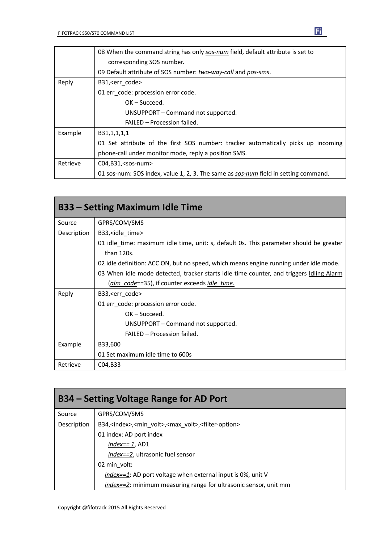|          | 08 When the command string has only sos-num field, default attribute is set to      |  |  |  |
|----------|-------------------------------------------------------------------------------------|--|--|--|
|          | corresponding SOS number.                                                           |  |  |  |
|          | 09 Default attribute of SOS number: two-way-call and pos-sms.                       |  |  |  |
| Reply    | B31, <err_code></err_code>                                                          |  |  |  |
|          | 01 err code: procession error code.                                                 |  |  |  |
|          | $OK - Succeed.$                                                                     |  |  |  |
|          | UNSUPPORT - Command not supported.                                                  |  |  |  |
|          | FAILED - Procession failed.                                                         |  |  |  |
| Example  | B31,1,1,1,1                                                                         |  |  |  |
|          | 01 Set attribute of the first SOS number: tracker automatically picks up incoming   |  |  |  |
|          | phone-call under monitor mode, reply a position SMS.                                |  |  |  |
| Retrieve | $CO4, B31, <$ sos-num $>$                                                           |  |  |  |
|          | 01 sos-num: SOS index, value 1, 2, 3. The same as sos-num field in setting command. |  |  |  |

| <b>B33 – Setting Maximum Idle Time</b> |                                                                                                      |  |  |  |
|----------------------------------------|------------------------------------------------------------------------------------------------------|--|--|--|
| Source                                 | GPRS/COM/SMS                                                                                         |  |  |  |
| Description                            | B33, sidle time                                                                                      |  |  |  |
|                                        | 01 idle time: maximum idle time, unit: s, default 0s. This parameter should be greater<br>than 120s. |  |  |  |
|                                        | 02 idle definition: ACC ON, but no speed, which means engine running under idle mode.                |  |  |  |
|                                        | 03 When idle mode detected, tracker starts idle time counter, and triggers Idling Alarm              |  |  |  |
|                                        | (alm code==35), if counter exceeds <i>idle time</i> .                                                |  |  |  |
| Reply                                  | B33, <err_code></err_code>                                                                           |  |  |  |
|                                        | 01 err_code: procession error code.                                                                  |  |  |  |
|                                        | $OK - Succeed.$                                                                                      |  |  |  |
|                                        | UNSUPPORT – Command not supported.                                                                   |  |  |  |
|                                        | FAILED - Procession failed.                                                                          |  |  |  |
| Example                                | B33,600                                                                                              |  |  |  |
|                                        | 01 Set maximum idle time to 600s                                                                     |  |  |  |
| Retrieve                               | C04, B33                                                                                             |  |  |  |

| <b>B34 – Setting Voltage Range for AD Port</b> |                                                                                              |  |  |
|------------------------------------------------|----------------------------------------------------------------------------------------------|--|--|
| Source                                         | GPRS/COM/SMS                                                                                 |  |  |
| Description                                    | B34, <index>,<min volt="">,<max volt="">,<filter-option></filter-option></max></min></index> |  |  |
|                                                | 01 index: AD port index                                                                      |  |  |
|                                                | $index = 1$ , AD1                                                                            |  |  |
|                                                | index==2, ultrasonic fuel sensor                                                             |  |  |
|                                                | 02 min volt:                                                                                 |  |  |
|                                                | index==1: AD port voltage when external input is 0%, unit V                                  |  |  |
|                                                | index==2: minimum measuring range for ultrasonic sensor, unit mm                             |  |  |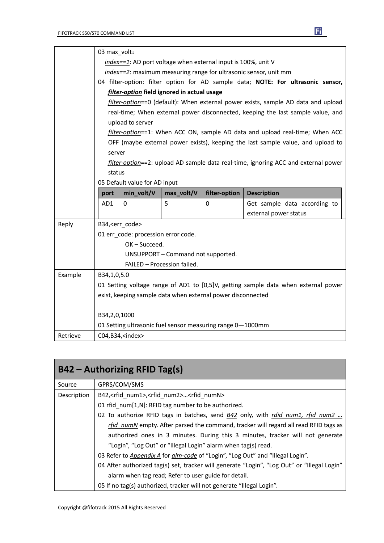|                                                             |                                                                                                                                                                                                                                                                                     | 03 max volt:                        |                                    |               |                              |  |
|-------------------------------------------------------------|-------------------------------------------------------------------------------------------------------------------------------------------------------------------------------------------------------------------------------------------------------------------------------------|-------------------------------------|------------------------------------|---------------|------------------------------|--|
|                                                             | index==1: AD port voltage when external input is 100%, unit V                                                                                                                                                                                                                       |                                     |                                    |               |                              |  |
|                                                             | index==2: maximum measuring range for ultrasonic sensor, unit mm                                                                                                                                                                                                                    |                                     |                                    |               |                              |  |
|                                                             | 04 filter-option: filter option for AD sample data; NOTE: For ultrasonic sensor,                                                                                                                                                                                                    |                                     |                                    |               |                              |  |
|                                                             | filter-option field ignored in actual usage<br>filter-option==0 (default): When external power exists, sample AD data and upload<br>real-time; When external power disconnected, keeping the last sample value, and                                                                 |                                     |                                    |               |                              |  |
|                                                             |                                                                                                                                                                                                                                                                                     |                                     |                                    |               |                              |  |
|                                                             |                                                                                                                                                                                                                                                                                     |                                     |                                    |               |                              |  |
|                                                             | upload to server<br>filter-option==1: When ACC ON, sample AD data and upload real-time; When ACC<br>OFF (maybe external power exists), keeping the last sample value, and upload to<br>server<br>filter-option==2: upload AD sample data real-time, ignoring ACC and external power |                                     |                                    |               |                              |  |
|                                                             |                                                                                                                                                                                                                                                                                     |                                     |                                    |               |                              |  |
|                                                             |                                                                                                                                                                                                                                                                                     |                                     |                                    |               |                              |  |
|                                                             |                                                                                                                                                                                                                                                                                     |                                     |                                    |               |                              |  |
|                                                             |                                                                                                                                                                                                                                                                                     |                                     |                                    |               |                              |  |
|                                                             | status                                                                                                                                                                                                                                                                              |                                     |                                    |               |                              |  |
|                                                             |                                                                                                                                                                                                                                                                                     | 05 Default value for AD input       |                                    |               |                              |  |
|                                                             | port                                                                                                                                                                                                                                                                                | min_volt/V                          | max_volt/V                         | filter-option | <b>Description</b>           |  |
|                                                             | AD1                                                                                                                                                                                                                                                                                 | 0                                   | 5                                  | 0             | Get sample data according to |  |
|                                                             |                                                                                                                                                                                                                                                                                     |                                     |                                    |               | external power status        |  |
| Reply                                                       | B34, <err_code></err_code>                                                                                                                                                                                                                                                          |                                     |                                    |               |                              |  |
|                                                             |                                                                                                                                                                                                                                                                                     | 01 err_code: procession error code. |                                    |               |                              |  |
|                                                             |                                                                                                                                                                                                                                                                                     | OK-Succeed.                         |                                    |               |                              |  |
|                                                             |                                                                                                                                                                                                                                                                                     |                                     | UNSUPPORT - Command not supported. |               |                              |  |
|                                                             | FAILED - Procession failed.                                                                                                                                                                                                                                                         |                                     |                                    |               |                              |  |
| Example                                                     | B34,1,0,5.0                                                                                                                                                                                                                                                                         |                                     |                                    |               |                              |  |
|                                                             | 01 Setting voltage range of AD1 to [0,5]V, getting sample data when external power                                                                                                                                                                                                  |                                     |                                    |               |                              |  |
| exist, keeping sample data when external power disconnected |                                                                                                                                                                                                                                                                                     |                                     |                                    |               |                              |  |
|                                                             |                                                                                                                                                                                                                                                                                     | B34,2,0,1000                        |                                    |               |                              |  |
|                                                             | 01 Setting ultrasonic fuel sensor measuring range 0-1000mm                                                                                                                                                                                                                          |                                     |                                    |               |                              |  |
| Retrieve                                                    |                                                                                                                                                                                                                                                                                     | C04,B34, <index></index>            |                                    |               |                              |  |

E

| $B42 -$ Authorizing RFID Tag(s) |                                                                                               |  |  |  |
|---------------------------------|-----------------------------------------------------------------------------------------------|--|--|--|
| Source                          | GPRS/COM/SMS                                                                                  |  |  |  |
| Description                     | B42, <rfid num1="">,<rfid num2=""><rfid numn=""></rfid></rfid></rfid>                         |  |  |  |
|                                 | 01 rfid num[1,N]: RFID tag number to be authorized.                                           |  |  |  |
|                                 | 02 To authorize RFID tags in batches, send <b>B42</b> only, with <i>rdid num1, rfid num2 </i> |  |  |  |
|                                 | rfid numN empty. After parsed the command, tracker will regard all read RFID tags as          |  |  |  |
|                                 | authorized ones in 3 minutes. During this 3 minutes, tracker will not generate                |  |  |  |
|                                 | "Login", "Log Out" or "Illegal Login" alarm when tag(s) read.                                 |  |  |  |
|                                 | O3 Refer to Appendix A for alm-code of "Login", "Log Out" and "Illegal Login".                |  |  |  |
|                                 | 04 After authorized tag(s) set, tracker will generate "Login", "Log Out" or "Illegal Login"   |  |  |  |
|                                 | alarm when tag read; Refer to user guide for detail.                                          |  |  |  |
|                                 | 05 If no tag(s) authorized, tracker will not generate "Illegal Login".                        |  |  |  |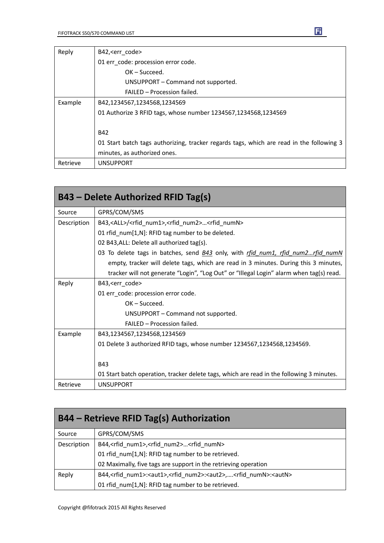| Reply    | B42, <err_code></err_code>                                                               |  |  |  |  |
|----------|------------------------------------------------------------------------------------------|--|--|--|--|
|          | 01 err_code: procession error code.                                                      |  |  |  |  |
|          | $OK - Succeed.$                                                                          |  |  |  |  |
|          | UNSUPPORT - Command not supported.                                                       |  |  |  |  |
|          | FAILED - Procession failed.                                                              |  |  |  |  |
| Example  | B42,1234567,1234568,1234569                                                              |  |  |  |  |
|          | 01 Authorize 3 RFID tags, whose number 1234567,1234568,1234569                           |  |  |  |  |
|          |                                                                                          |  |  |  |  |
|          | <b>B42</b>                                                                               |  |  |  |  |
|          | 01 Start batch tags authorizing, tracker regards tags, which are read in the following 3 |  |  |  |  |
|          | minutes, as authorized ones.                                                             |  |  |  |  |
| Retrieve | <b>UNSUPPORT</b>                                                                         |  |  |  |  |

|             | <b>B43 - Delete Authorized RFID Tag(s)</b>                                                    |
|-------------|-----------------------------------------------------------------------------------------------|
| Source      | GPRS/COM/SMS                                                                                  |
| Description | B43, <all>/<rfid_num1>,<rfid_num2><rfid_numn></rfid_numn></rfid_num2></rfid_num1></all>       |
|             | 01 rfid_num[1,N]: RFID tag number to be deleted.                                              |
|             | 02 B43, ALL: Delete all authorized tag(s).                                                    |
|             | 03 To delete tags in batches, send <b>B43</b> only, with <i>rfid num1, rfid num2rfid numN</i> |
|             | empty, tracker will delete tags, which are read in 3 minutes. During this 3 minutes,          |
|             | tracker will not generate "Login", "Log Out" or "Illegal Login" alarm when tag(s) read.       |
| Reply       | B43, <err_code></err_code>                                                                    |
|             | 01 err_code: procession error code.                                                           |
|             | $OK - Succeed.$                                                                               |
|             | UNSUPPORT – Command not supported.                                                            |
|             | FAILED - Procession failed.                                                                   |
| Example     | B43,1234567,1234568,1234569                                                                   |
|             | 01 Delete 3 authorized RFID tags, whose number 1234567,1234568,1234569.                       |
|             |                                                                                               |
|             | <b>B43</b>                                                                                    |
|             | 01 Start batch operation, tracker delete tags, which are read in the following 3 minutes.     |
| Retrieve    | <b>UNSUPPORT</b>                                                                              |

| B44 - Retrieve RFID Tag(s) Authorization |                                                                                                                  |  |  |
|------------------------------------------|------------------------------------------------------------------------------------------------------------------|--|--|
| Source                                   | GPRS/COM/SMS                                                                                                     |  |  |
| Description                              | B44, <rfid_num1>,<rfid_num2><rfid_numn></rfid_numn></rfid_num2></rfid_num1>                                      |  |  |
|                                          | 01 rfid num[1,N]: RFID tag number to be retrieved.                                                               |  |  |
|                                          | 02 Maximally, five tags are support in the retrieving operation                                                  |  |  |
| Reply                                    | B44, <rfid num1="">:<aut1>,<rfid num2="">:<aut2>,<rfid numn="">:<autn></autn></rfid></aut2></rfid></aut1></rfid> |  |  |
|                                          | 01 rfid num[1,N]: RFID tag number to be retrieved.                                                               |  |  |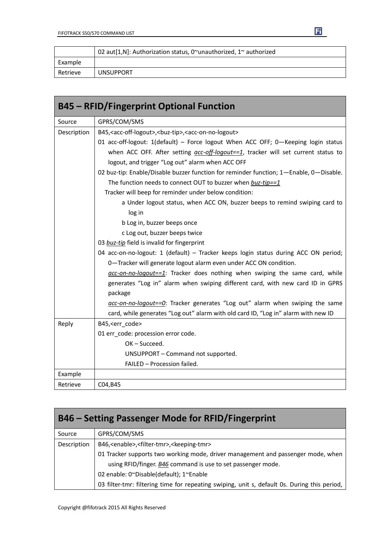|          | 02 aut[1,N]: Authorization status, 0 $\gamma$ unauthorized, 1 $\gamma$ authorized |  |  |
|----------|-----------------------------------------------------------------------------------|--|--|
| Example  |                                                                                   |  |  |
| Retrieve | <b>UNSUPPORT</b>                                                                  |  |  |

| <b>B45 - RFID/Fingerprint Optional Function</b> |                                                                                                      |  |  |
|-------------------------------------------------|------------------------------------------------------------------------------------------------------|--|--|
| Source                                          | GPRS/COM/SMS                                                                                         |  |  |
| Description                                     | B45, <acc-off-logout>, <br/>&gt;buz-tip&gt;, <acc-on-no-logout></acc-on-no-logout></acc-off-logout>  |  |  |
|                                                 | 01 acc-off-logout: 1(default) - Force logout When ACC OFF; 0-Keeping login status                    |  |  |
|                                                 | when ACC OFF. After setting $\frac{acc-off\text{-}logout==1}{}$ , tracker will set current status to |  |  |
|                                                 | logout, and trigger "Log out" alarm when ACC OFF                                                     |  |  |
|                                                 | 02 buz-tip: Enable/Disable buzzer function for reminder function; 1-Enable, 0-Disable.               |  |  |
|                                                 | The function needs to connect OUT to buzzer when buz-tip==1                                          |  |  |
|                                                 | Tracker will beep for reminder under below condition:                                                |  |  |
|                                                 | a Under logout status, when ACC ON, buzzer beeps to remind swiping card to                           |  |  |
|                                                 | log in                                                                                               |  |  |
|                                                 | b Log in, buzzer beeps once                                                                          |  |  |
|                                                 | c Log out, buzzer beeps twice                                                                        |  |  |
|                                                 | 03 buz-tip field is invalid for fingerprint                                                          |  |  |
|                                                 | 04 acc-on-no-logout: 1 (default) - Tracker keeps login status during ACC ON period;                  |  |  |
|                                                 | 0-Tracker will generate logout alarm even under ACC ON condition.                                    |  |  |
|                                                 | acc-on-no-logout==1: Tracker does nothing when swiping the same card, while                          |  |  |
|                                                 | generates "Log in" alarm when swiping different card, with new card ID in GPRS                       |  |  |
|                                                 | package                                                                                              |  |  |
|                                                 | $\alpha$ cc-on-no-logout== $Q$ : Tracker generates "Log out" alarm when swiping the same             |  |  |
|                                                 | card, while generates "Log out" alarm with old card ID, "Log in" alarm with new ID                   |  |  |
| Reply                                           | B45, <err_code></err_code>                                                                           |  |  |
|                                                 | 01 err_code: procession error code.                                                                  |  |  |
|                                                 | OK-Succeed.                                                                                          |  |  |
|                                                 | UNSUPPORT - Command not supported.                                                                   |  |  |
|                                                 | FAILED - Procession failed.                                                                          |  |  |
| Example                                         |                                                                                                      |  |  |
| Retrieve                                        | C04, B45                                                                                             |  |  |

| <b>B46 - Setting Passenger Mode for RFID/Fingerprint</b> |  |  |
|----------------------------------------------------------|--|--|
|----------------------------------------------------------|--|--|

| Source      | GPRS/COM/SMS                                                                                 |  |
|-------------|----------------------------------------------------------------------------------------------|--|
| Description | B46, <enable>,<filter-tmr>,<keeping-tmr></keeping-tmr></filter-tmr></enable>                 |  |
|             | 01 Tracker supports two working mode, driver management and passenger mode, when             |  |
|             | using RFID/finger. B46 command is use to set passenger mode.                                 |  |
|             | 02 enable: 0~Disable(default); 1~Enable                                                      |  |
|             | 03 filter-tmr: filtering time for repeating swiping, unit s, default 0s. During this period, |  |

Copyright @fifotrack 2015 All Rights Reserved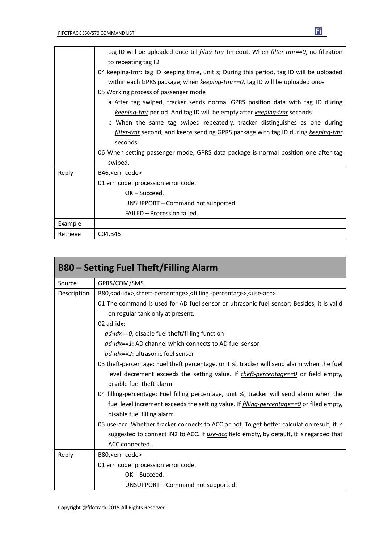|          | tag ID will be uploaded once till <i>filter-tmr</i> timeout. When <i>filter-tmr==0</i> , no filtration |  |  |  |
|----------|--------------------------------------------------------------------------------------------------------|--|--|--|
|          | to repeating tag ID                                                                                    |  |  |  |
|          | 04 keeping-tmr: tag ID keeping time, unit s; During this period, tag ID will be uploaded               |  |  |  |
|          | within each GPRS package; when $keeping$ - $tmr == 0$ , tag ID will be uploaded once                   |  |  |  |
|          | 05 Working process of passenger mode                                                                   |  |  |  |
|          | a After tag swiped, tracker sends normal GPRS position data with tag ID during                         |  |  |  |
|          | keeping-tmr period. And tag ID will be empty after keeping-tmr seconds                                 |  |  |  |
|          | b When the same tag swiped repeatedly, tracker distinguishes as one during                             |  |  |  |
|          | filter-tmr second, and keeps sending GPRS package with tag ID during keeping-tmr                       |  |  |  |
|          | seconds                                                                                                |  |  |  |
|          | 06 When setting passenger mode, GPRS data package is normal position one after tag                     |  |  |  |
|          | swiped.                                                                                                |  |  |  |
| Reply    | B46, <err code=""></err>                                                                               |  |  |  |
|          | 01 err_code: procession error code.                                                                    |  |  |  |
|          | OK – Succeed.                                                                                          |  |  |  |
|          | UNSUPPORT - Command not supported.                                                                     |  |  |  |
|          | FAILED - Procession failed.                                                                            |  |  |  |
| Example  |                                                                                                        |  |  |  |
| Retrieve | C04, B46                                                                                               |  |  |  |

Ei

|                                                                                           | <b>B80 – Setting Fuel Theft/Filling Alarm</b>                                                                              |  |  |  |
|-------------------------------------------------------------------------------------------|----------------------------------------------------------------------------------------------------------------------------|--|--|--|
| Source                                                                                    | GPRS/COM/SMS                                                                                                               |  |  |  |
| Description                                                                               | B80, <ad-idx>,<theft-percentage>,<filling-percentage>,<use-acc></use-acc></filling-percentage></theft-percentage></ad-idx> |  |  |  |
|                                                                                           | 01 The command is used for AD fuel sensor or ultrasonic fuel sensor; Besides, it is valid                                  |  |  |  |
|                                                                                           | on regular tank only at present.                                                                                           |  |  |  |
|                                                                                           | 02 ad-idx:                                                                                                                 |  |  |  |
|                                                                                           | ad-idx==0, disable fuel theft/filling function                                                                             |  |  |  |
|                                                                                           | ad-idx==1: AD channel which connects to AD fuel sensor                                                                     |  |  |  |
| ad-idx==2: ultrasonic fuel sensor                                                         |                                                                                                                            |  |  |  |
| 03 theft-percentage: Fuel theft percentage, unit %, tracker will send alarm when the fuel |                                                                                                                            |  |  |  |
|                                                                                           | level decrement exceeds the setting value. If <i>theft-percentage==0</i> or field empty,                                   |  |  |  |
|                                                                                           | disable fuel theft alarm.                                                                                                  |  |  |  |
|                                                                                           | 04 filling-percentage: Fuel filling percentage, unit %, tracker will send alarm when the                                   |  |  |  |
|                                                                                           | fuel level increment exceeds the setting value. If <i>filling-percentage==0</i> or filed empty,                            |  |  |  |
|                                                                                           | disable fuel filling alarm.                                                                                                |  |  |  |
|                                                                                           | 05 use-acc: Whether tracker connects to ACC or not. To get better calculation result, it is                                |  |  |  |
|                                                                                           | suggested to connect IN2 to ACC. If <i>use-acc</i> field empty, by default, it is regarded that                            |  |  |  |
|                                                                                           | ACC connected.                                                                                                             |  |  |  |
| Reply                                                                                     | B80, <err_code></err_code>                                                                                                 |  |  |  |
|                                                                                           | 01 err code: procession error code.                                                                                        |  |  |  |
|                                                                                           | $OK - Succeed.$                                                                                                            |  |  |  |
|                                                                                           | UNSUPPORT - Command not supported.                                                                                         |  |  |  |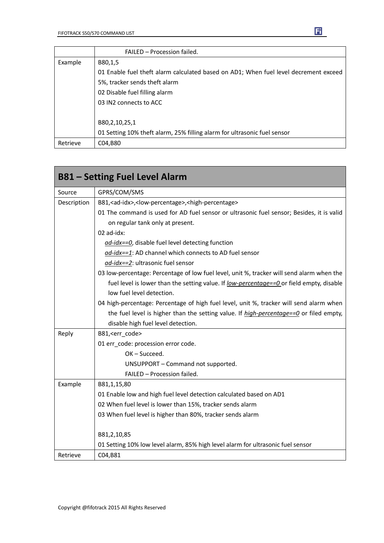|          | FAILED - Procession failed.                                                          |  |  |  |
|----------|--------------------------------------------------------------------------------------|--|--|--|
| Example  | B80,1,5                                                                              |  |  |  |
|          | 01 Enable fuel theft alarm calculated based on AD1; When fuel level decrement exceed |  |  |  |
|          | 5%, tracker sends theft alarm                                                        |  |  |  |
|          | 02 Disable fuel filling alarm                                                        |  |  |  |
|          | 03 IN2 connects to ACC                                                               |  |  |  |
|          |                                                                                      |  |  |  |
|          | B80,2,10,25,1                                                                        |  |  |  |
|          | 01 Setting 10% theft alarm, 25% filling alarm for ultrasonic fuel sensor             |  |  |  |
| Retrieve | C04,B80                                                                              |  |  |  |

|                           | <b>B81 - Setting Fuel Level Alarm</b>                                                         |  |  |
|---------------------------|-----------------------------------------------------------------------------------------------|--|--|
| Source                    | GPRS/COM/SMS                                                                                  |  |  |
| Description               | B81, <ad-idx>,<low-percentage>,<high-percentage></high-percentage></low-percentage></ad-idx>  |  |  |
|                           | 01 The command is used for AD fuel sensor or ultrasonic fuel sensor; Besides, it is valid     |  |  |
|                           | on regular tank only at present.                                                              |  |  |
|                           | 02 ad-idx:                                                                                    |  |  |
|                           | ad-idx==0, disable fuel level detecting function                                              |  |  |
|                           | ad-idx==1: AD channel which connects to AD fuel sensor                                        |  |  |
|                           | ad-idx==2: ultrasonic fuel sensor                                                             |  |  |
|                           | 03 low-percentage: Percentage of low fuel level, unit %, tracker will send alarm when the     |  |  |
|                           | fuel level is lower than the setting value. If low-percentage==0 or field empty, disable      |  |  |
| low fuel level detection. |                                                                                               |  |  |
|                           | 04 high-percentage: Percentage of high fuel level, unit %, tracker will send alarm when       |  |  |
|                           | the fuel level is higher than the setting value. If <i>high-percentage==0</i> or filed empty, |  |  |
|                           | disable high fuel level detection.                                                            |  |  |
| Reply                     | B81, <err_code></err_code>                                                                    |  |  |
|                           | 01 err code: procession error code.                                                           |  |  |
|                           | OK-Succeed.                                                                                   |  |  |
|                           | UNSUPPORT - Command not supported.                                                            |  |  |
|                           | FAILED - Procession failed.                                                                   |  |  |
| Example                   | B81,1,15,80                                                                                   |  |  |
|                           | 01 Enable low and high fuel level detection calculated based on AD1                           |  |  |
|                           | 02 When fuel level is lower than 15%, tracker sends alarm                                     |  |  |
|                           | 03 When fuel level is higher than 80%, tracker sends alarm                                    |  |  |
|                           | B81,2,10,85                                                                                   |  |  |
|                           | 01 Setting 10% low level alarm, 85% high level alarm for ultrasonic fuel sensor               |  |  |
| Retrieve                  | C04,B81                                                                                       |  |  |

Ei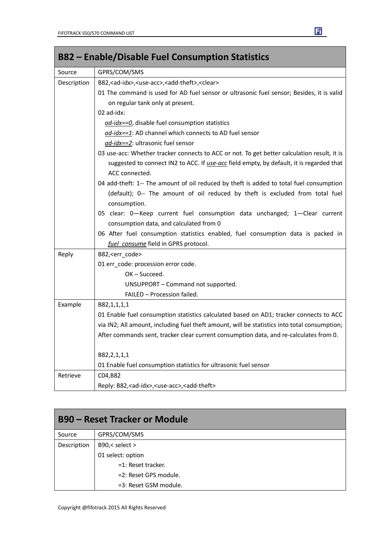| <b>B82 – Enable/Disable Fuel Consumption Statistics</b>                   |                                                                                                 |  |  |  |
|---------------------------------------------------------------------------|-------------------------------------------------------------------------------------------------|--|--|--|
| Source                                                                    | GPRS/COM/SMS                                                                                    |  |  |  |
| Description                                                               | B82, <ad-idx>, <use-acc>, <add-theft>, <clear></clear></add-theft></use-acc></ad-idx>           |  |  |  |
|                                                                           | 01 The command is used for AD fuel sensor or ultrasonic fuel sensor; Besides, it is valid       |  |  |  |
|                                                                           | on regular tank only at present.                                                                |  |  |  |
|                                                                           | 02 ad-idx:                                                                                      |  |  |  |
|                                                                           | ad-idx==0, disable fuel consumption statistics                                                  |  |  |  |
|                                                                           | ad-idx==1: AD channel which connects to AD fuel sensor                                          |  |  |  |
|                                                                           | ad-idx==2: ultrasonic fuel sensor                                                               |  |  |  |
|                                                                           | 03 use-acc: Whether tracker connects to ACC or not. To get better calculation result, it is     |  |  |  |
|                                                                           | suggested to connect IN2 to ACC. If <i>use-acc</i> field empty, by default, it is regarded that |  |  |  |
|                                                                           | ACC connected.                                                                                  |  |  |  |
|                                                                           | 04 add-theft: 1-- The amount of oil reduced by theft is added to total fuel consumption         |  |  |  |
|                                                                           | (default); 0-- The amount of oil reduced by theft is excluded from total fuel                   |  |  |  |
|                                                                           | consumption.                                                                                    |  |  |  |
| 05 clear: 0-Keep current fuel consumption data unchanged; 1-Clear current |                                                                                                 |  |  |  |
|                                                                           | consumption data, and calculated from 0                                                         |  |  |  |
|                                                                           | 06 After fuel consumption statistics enabled, fuel consumption data is packed in                |  |  |  |
|                                                                           | fuel consume field in GPRS protocol.                                                            |  |  |  |
| Reply                                                                     | B82, <err_code></err_code>                                                                      |  |  |  |
|                                                                           | 01 err_code: procession error code.                                                             |  |  |  |
|                                                                           | OK-Succeed.                                                                                     |  |  |  |
|                                                                           | UNSUPPORT - Command not supported.                                                              |  |  |  |
|                                                                           | FAILED - Procession failed.                                                                     |  |  |  |
| Example                                                                   | B82,1,1,1,1                                                                                     |  |  |  |
|                                                                           | 01 Enable fuel consumption statistics calculated based on AD1; tracker connects to ACC          |  |  |  |
|                                                                           | via IN2; All amount, including fuel theft amount, will be statistics into total consumption;    |  |  |  |
|                                                                           | After commands sent, tracker clear current consumption data, and re-calculates from 0.          |  |  |  |
|                                                                           | B82,2,1,1,1                                                                                     |  |  |  |
|                                                                           | 01 Enable fuel consumption statistics for ultrasonic fuel sensor                                |  |  |  |
| Retrieve                                                                  | C04,B82                                                                                         |  |  |  |
|                                                                           | Reply: B82, <ad-idx>, <use-acc>, <add-theft></add-theft></use-acc></ad-idx>                     |  |  |  |

| <b>B90 – Reset Tracker or Module</b> |                       |  |  |
|--------------------------------------|-----------------------|--|--|
| Source                               | GPRS/COM/SMS          |  |  |
| Description                          | B90,< select >        |  |  |
|                                      | 01 select: option     |  |  |
|                                      | $=1$ : Reset tracker. |  |  |
|                                      | =2: Reset GPS module. |  |  |
|                                      | =3: Reset GSM module. |  |  |

#### E

m.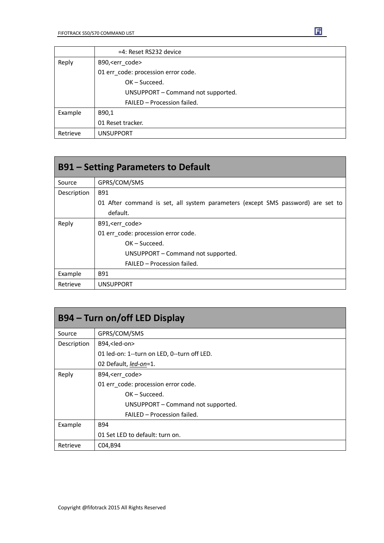|          | =4: Reset RS232 device              |  |  |
|----------|-------------------------------------|--|--|
| Reply    | B90, <err code=""></err>            |  |  |
|          | 01 err_code: procession error code. |  |  |
|          | $OK - Succeed.$                     |  |  |
|          | UNSUPPORT - Command not supported.  |  |  |
|          | FAILED - Procession failed.         |  |  |
| Example  | B90,1                               |  |  |
|          | 01 Reset tracker.                   |  |  |
| Retrieve | <b>UNSUPPORT</b>                    |  |  |

| <b>B91 – Setting Parameters to Default</b> |                                                                                 |  |  |  |
|--------------------------------------------|---------------------------------------------------------------------------------|--|--|--|
| Source                                     | GPRS/COM/SMS                                                                    |  |  |  |
| Description                                | B91                                                                             |  |  |  |
|                                            | 01 After command is set, all system parameters (except SMS password) are set to |  |  |  |
|                                            | default.                                                                        |  |  |  |
| Reply                                      | B91, <err code=""></err>                                                        |  |  |  |
|                                            | 01 err code: procession error code.                                             |  |  |  |
|                                            | $OK - Succeed.$                                                                 |  |  |  |
|                                            | UNSUPPORT – Command not supported.                                              |  |  |  |
|                                            | FAILED - Procession failed.                                                     |  |  |  |
| Example                                    | B91                                                                             |  |  |  |
| Retrieve                                   | <b>UNSUPPORT</b>                                                                |  |  |  |

| B94 – Turn on/off LED Display |                                             |  |  |  |
|-------------------------------|---------------------------------------------|--|--|--|
| Source                        | GPRS/COM/SMS                                |  |  |  |
| Description                   | B94, <led-on></led-on>                      |  |  |  |
|                               | 01 led-on: 1--turn on LED, 0--turn off LED. |  |  |  |
|                               | 02 Default, led-on=1.                       |  |  |  |
| Reply                         | B94, <err code=""></err>                    |  |  |  |
|                               | 01 err code: procession error code.         |  |  |  |
|                               | $OK - Succeed.$                             |  |  |  |
|                               | UNSUPPORT - Command not supported.          |  |  |  |
|                               | FAILED - Procession failed.                 |  |  |  |
| Example                       | <b>B94</b>                                  |  |  |  |
|                               | 01 Set LED to default: turn on.             |  |  |  |
| Retrieve                      | C04, B94                                    |  |  |  |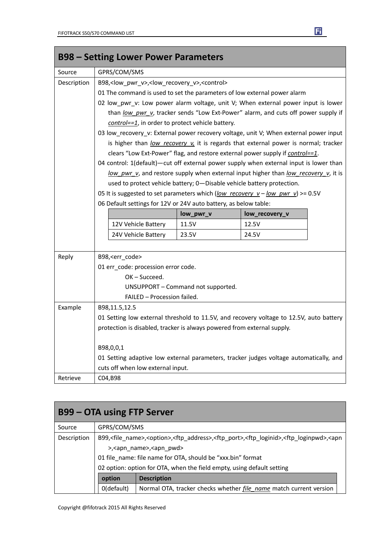|             | <b>B98 - Setting Lower Power Parameters</b>                                             |           |                                                                                        |  |  |
|-------------|-----------------------------------------------------------------------------------------|-----------|----------------------------------------------------------------------------------------|--|--|
| Source      | GPRS/COM/SMS                                                                            |           |                                                                                        |  |  |
| Description | B98, <low_pwr_v>,<low_recovery_v>,<control></control></low_recovery_v></low_pwr_v>      |           |                                                                                        |  |  |
|             | 01 The command is used to set the parameters of low external power alarm                |           |                                                                                        |  |  |
|             |                                                                                         |           | 02 low_pwr_v: Low power alarm voltage, unit V; When external power input is lower      |  |  |
|             |                                                                                         |           | than low pwr v, tracker sends "Low Ext-Power" alarm, and cuts off power supply if      |  |  |
|             | control==1, in order to protect vehicle battery.                                        |           |                                                                                        |  |  |
|             |                                                                                         |           | 03 low_recovery_v: External power recovery voltage, unit V; When external power input  |  |  |
|             | is higher than low recovery v, it is regards that external power is normal; tracker     |           |                                                                                        |  |  |
|             | clears "Low Ext-Power" flag, and restore external power supply if control==1.           |           |                                                                                        |  |  |
|             |                                                                                         |           | 04 control: 1(default)-cut off external power supply when external input is lower than |  |  |
|             |                                                                                         |           | low pwr v, and restore supply when external input higher than low recovery v, it is    |  |  |
|             | used to protect vehicle battery; 0-Disable vehicle battery protection.                  |           |                                                                                        |  |  |
|             |                                                                                         |           | 05 It is suggested to set parameters which (low recovery $v - low$ pwr v) >= 0.5V      |  |  |
|             | 06 Default settings for 12V or 24V auto battery, as below table:                        |           |                                                                                        |  |  |
|             |                                                                                         | low_pwr_v | low_recovery_v                                                                         |  |  |
|             | 12V Vehicle Battery                                                                     | 11.5V     | 12.5V                                                                                  |  |  |
|             | 24V Vehicle Battery                                                                     | 23.5V     | 24.5V                                                                                  |  |  |
|             |                                                                                         |           |                                                                                        |  |  |
| Reply       | B98, <err code=""></err>                                                                |           |                                                                                        |  |  |
|             | 01 err_code: procession error code.                                                     |           |                                                                                        |  |  |
|             | OK-Succeed.                                                                             |           |                                                                                        |  |  |
|             | UNSUPPORT - Command not supported.                                                      |           |                                                                                        |  |  |
|             | FAILED - Procession failed.                                                             |           |                                                                                        |  |  |
| Example     | B98,11.5,12.5                                                                           |           |                                                                                        |  |  |
|             | 01 Setting low external threshold to 11.5V, and recovery voltage to 12.5V, auto battery |           |                                                                                        |  |  |
|             | protection is disabled, tracker is always powered from external supply.                 |           |                                                                                        |  |  |
|             | B98,0,0,1                                                                               |           |                                                                                        |  |  |
|             | 01 Setting adaptive low external parameters, tracker judges voltage automatically, and  |           |                                                                                        |  |  |
|             | cuts off when low external input.                                                       |           |                                                                                        |  |  |
| Retrieve    | C04,B98                                                                                 |           |                                                                                        |  |  |

| <b>B99 – OTA using FTP Server</b> |                                                                                                                                                                                |                                                                           |  |
|-----------------------------------|--------------------------------------------------------------------------------------------------------------------------------------------------------------------------------|---------------------------------------------------------------------------|--|
| Source                            | GPRS/COM/SMS                                                                                                                                                                   |                                                                           |  |
| Description                       | B99, <file_name>,<option>,<ftp_address>,<ftp_port>,<ftp_loginid>,<ftp_loginpwd>,<apn< td=""></apn<></ftp_loginpwd></ftp_loginid></ftp_port></ftp_address></option></file_name> |                                                                           |  |
|                                   | >, <apn name="">, <apn pwd=""></apn></apn>                                                                                                                                     |                                                                           |  |
|                                   | 01 file name: file name for OTA, should be "xxx.bin" format                                                                                                                    |                                                                           |  |
|                                   | 02 option: option for OTA, when the field empty, using default setting                                                                                                         |                                                                           |  |
|                                   | option<br><b>Description</b>                                                                                                                                                   |                                                                           |  |
|                                   | 0(default)                                                                                                                                                                     | Normal OTA, tracker checks whether <i>file name</i> match current version |  |



 $\mathcal{L}_{\mathcal{A}}$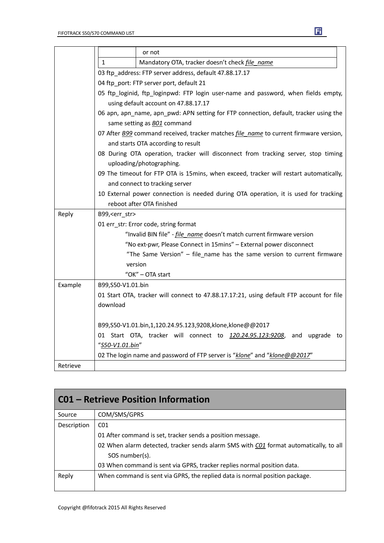|          |                                                                                        | or not                                                                                   |  |
|----------|----------------------------------------------------------------------------------------|------------------------------------------------------------------------------------------|--|
|          | $\mathbf{1}$                                                                           | Mandatory OTA, tracker doesn't check file name                                           |  |
|          | 03 ftp_address: FTP server address, default 47.88.17.17                                |                                                                                          |  |
|          | 04 ftp_port: FTP server port, default 21                                               |                                                                                          |  |
|          | 05 ftp_loginid, ftp_loginpwd: FTP login user-name and password, when fields empty,     |                                                                                          |  |
|          | using default account on 47.88.17.17                                                   |                                                                                          |  |
|          | 06 apn, apn_name, apn_pwd: APN setting for FTP connection, default, tracker using the  |                                                                                          |  |
|          | same setting as <b>BO1</b> command                                                     |                                                                                          |  |
|          |                                                                                        | 07 After B99 command received, tracker matches file name to current firmware version,    |  |
|          |                                                                                        | and starts OTA according to result                                                       |  |
|          |                                                                                        | 08 During OTA operation, tracker will disconnect from tracking server, stop timing       |  |
|          |                                                                                        | uploading/photographing.                                                                 |  |
|          | 09 The timeout for FTP OTA is 15mins, when exceed, tracker will restart automatically, |                                                                                          |  |
|          | and connect to tracking server                                                         |                                                                                          |  |
|          | 10 External power connection is needed during OTA operation, it is used for tracking   |                                                                                          |  |
|          | reboot after OTA finished                                                              |                                                                                          |  |
| Reply    | B99, <err str=""></err>                                                                |                                                                                          |  |
|          | 01 err_str: Error code, string format                                                  |                                                                                          |  |
|          | "Invalid BIN file" - <i>file name</i> doesn't match current firmware version           |                                                                                          |  |
|          | "No ext-pwr, Please Connect in 15mins" - External power disconnect                     |                                                                                          |  |
|          | "The Same Version" - file_name has the same version to current firmware                |                                                                                          |  |
|          | version                                                                                |                                                                                          |  |
|          | "OK" - OTA start                                                                       |                                                                                          |  |
| Example  | B99,S50-V1.01.bin                                                                      |                                                                                          |  |
|          |                                                                                        | 01 Start OTA, tracker will connect to 47.88.17.17:21, using default FTP account for file |  |
|          | download                                                                               |                                                                                          |  |
|          |                                                                                        |                                                                                          |  |
|          |                                                                                        | B99,S50-V1.01.bin,1,120.24.95.123,9208,klone,klone@@2017                                 |  |
|          |                                                                                        | 01 Start OTA, tracker will connect to 120.24.95.123:9208, and upgrade to                 |  |
|          | "S50-V1.01.bin"                                                                        |                                                                                          |  |
|          | 02 The login name and password of FTP server is "klone" and "klone@@2017"              |                                                                                          |  |
| Retrieve |                                                                                        |                                                                                          |  |

| <b>CO1 - Retrieve Position Information</b> |                                                                                       |  |
|--------------------------------------------|---------------------------------------------------------------------------------------|--|
| Source                                     | COM/SMS/GPRS                                                                          |  |
| Description                                | CO <sub>1</sub>                                                                       |  |
|                                            | 01 After command is set, tracker sends a position message.                            |  |
|                                            | 02 When alarm detected, tracker sends alarm SMS with C01 format automatically, to all |  |
|                                            | SOS number(s).                                                                        |  |
|                                            | 03 When command is sent via GPRS, tracker replies normal position data.               |  |
| Reply                                      | When command is sent via GPRS, the replied data is normal position package.           |  |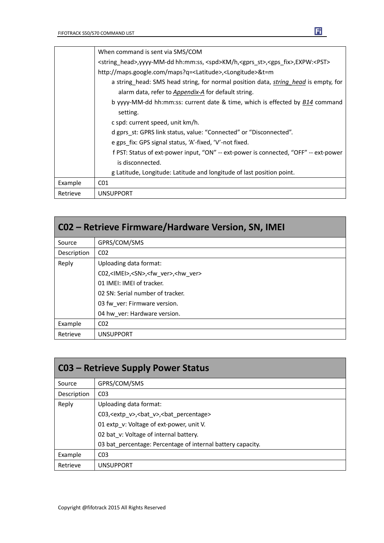|          | When command is sent via SMS/COM                                                                                                                                                                                   |  |  |
|----------|--------------------------------------------------------------------------------------------------------------------------------------------------------------------------------------------------------------------|--|--|
|          | <string head="">, yyyy-MM-dd hh:mm:ss, <spd>KM/h, <gprs st="">, <gps fix="">, EXPW:<pst><br/>http://maps.google.com/maps?q=<latitude>,<longitude>&amp;t=m</longitude></latitude></pst></gps></gprs></spd></string> |  |  |
|          |                                                                                                                                                                                                                    |  |  |
|          | a string head: SMS head string, for normal position data, <i>string head</i> is empty, for                                                                                                                         |  |  |
|          | alarm data, refer to Appendix-A for default string.                                                                                                                                                                |  |  |
|          | b yyyy-MM-dd hh:mm:ss: current date & time, which is effected by B14 command                                                                                                                                       |  |  |
|          | setting.                                                                                                                                                                                                           |  |  |
|          | c spd: current speed, unit km/h.                                                                                                                                                                                   |  |  |
|          | d gprs st: GPRS link status, value: "Connected" or "Disconnected".                                                                                                                                                 |  |  |
|          | e gps fix: GPS signal status, 'A'-fixed, 'V'-not fixed.                                                                                                                                                            |  |  |
|          | f PST: Status of ext-power input, "ON" -- ext-power is connected, "OFF" -- ext-power                                                                                                                               |  |  |
|          | is disconnected.                                                                                                                                                                                                   |  |  |
|          | g Latitude, Longitude: Latitude and longitude of last position point.                                                                                                                                              |  |  |
| Example  | CO <sub>1</sub>                                                                                                                                                                                                    |  |  |
| Retrieve | <b>UNSUPPORT</b>                                                                                                                                                                                                   |  |  |

| CO2 – Retrieve Firmware/Hardware Version, SN, IMEI |                                                                |  |  |
|----------------------------------------------------|----------------------------------------------------------------|--|--|
| Source                                             | GPRS/COM/SMS                                                   |  |  |
| Description                                        | CO <sub>2</sub>                                                |  |  |
| Reply                                              | Uploading data format:                                         |  |  |
|                                                    | C02, <imei>,<sn>,<fw ver="">,<hw ver=""></hw></fw></sn></imei> |  |  |
|                                                    | 01 IMEI: IMEI of tracker.                                      |  |  |
|                                                    | 02 SN: Serial number of tracker.                               |  |  |
|                                                    | 03 fw ver: Firmware version.                                   |  |  |
|                                                    | 04 hw ver: Hardware version.                                   |  |  |
| Example                                            | CO <sub>2</sub>                                                |  |  |
| Retrieve                                           | <b>UNSUPPORT</b>                                               |  |  |

| <b>C03 - Retrieve Supply Power Status</b> |                                                                  |  |  |
|-------------------------------------------|------------------------------------------------------------------|--|--|
| Source                                    | GPRS/COM/SMS                                                     |  |  |
| Description                               | CO <sub>3</sub>                                                  |  |  |
| Reply                                     | Uploading data format:                                           |  |  |
|                                           | C03, <extp v="">, <br/>bat v&gt;, <br/>bat percentage&gt;</extp> |  |  |
|                                           | 01 extp v: Voltage of ext-power, unit V.                         |  |  |
|                                           | 02 bat v: Voltage of internal battery.                           |  |  |
|                                           | 03 bat percentage: Percentage of internal battery capacity.      |  |  |
| Example                                   | CO <sub>3</sub>                                                  |  |  |
| Retrieve                                  | <b>UNSUPPORT</b>                                                 |  |  |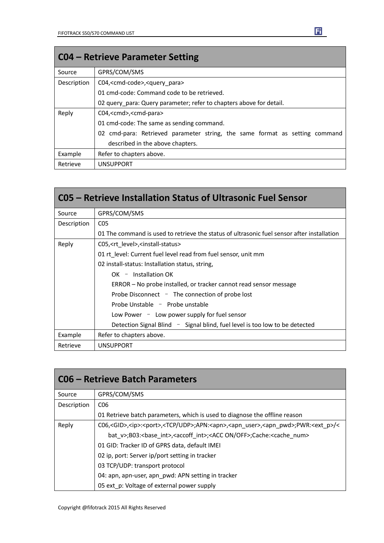| <b>CO4 – Retrieve Parameter Setting</b> |                                                                             |  |  |
|-----------------------------------------|-----------------------------------------------------------------------------|--|--|
| Source                                  | GPRS/COM/SMS                                                                |  |  |
| Description                             | C04, <cmd-code>,<query para=""></query></cmd-code>                          |  |  |
|                                         | 01 cmd-code: Command code to be retrieved.                                  |  |  |
|                                         | 02 query para: Query parameter; refer to chapters above for detail.         |  |  |
| Reply                                   | C04, <cmd>,<cmd-para></cmd-para></cmd>                                      |  |  |
|                                         | 01 cmd-code: The same as sending command.                                   |  |  |
|                                         | 02 cmd-para: Retrieved parameter string, the same format as setting command |  |  |
|                                         | described in the above chapters.                                            |  |  |
| Example                                 | Refer to chapters above.                                                    |  |  |
| Retrieve                                | <b>UNSUPPORT</b>                                                            |  |  |

|             | C05 – Retrieve Installation Status of Ultrasonic Fuel Sensor                               |  |  |
|-------------|--------------------------------------------------------------------------------------------|--|--|
| Source      | GPRS/COM/SMS                                                                               |  |  |
| Description | CO <sub>5</sub>                                                                            |  |  |
|             | 01 The command is used to retrieve the status of ultrasonic fuel sensor after installation |  |  |
| Reply       | C05, <rt level="">,<install-status></install-status></rt>                                  |  |  |
|             | 01 rt level: Current fuel level read from fuel sensor, unit mm                             |  |  |
|             | 02 install-status: Installation status, string,                                            |  |  |
|             | $OK -$ Installation OK                                                                     |  |  |
|             | ERROR – No probe installed, or tracker cannot read sensor message                          |  |  |
|             | Probe Disconnect $-$ The connection of probe lost                                          |  |  |
|             | Probe Unstable - Probe unstable                                                            |  |  |
|             | Low Power $-$ Low power supply for fuel sensor                                             |  |  |
|             | Detection Signal Blind - Signal blind, fuel level is too low to be detected                |  |  |
| Example     | Refer to chapters above.                                                                   |  |  |
| Retrieve    | <b>UNSUPPORT</b>                                                                           |  |  |

| C06 – Retrieve Batch Parameters |                                                                                                                                              |  |  |
|---------------------------------|----------------------------------------------------------------------------------------------------------------------------------------------|--|--|
| Source                          | GPRS/COM/SMS                                                                                                                                 |  |  |
| Description                     | C <sub>06</sub>                                                                                                                              |  |  |
|                                 | 01 Retrieve batch parameters, which is used to diagnose the offline reason                                                                   |  |  |
| Reply                           | C06, <gid>,<ip>:<port>,<tcp udp="">;APN:<apn>,<apn user="">,<apn pwd="">;PWR:<ext p="">/&lt;</ext></apn></apn></apn></tcp></port></ip></gid> |  |  |
|                                 | bat v>;B03:<br>base int>, <accoff int="">;<acc off="" on="">;Cache:<cache num=""></cache></acc></accoff>                                     |  |  |
|                                 | 01 GID: Tracker ID of GPRS data, default IMEI                                                                                                |  |  |
|                                 | 02 ip, port: Server ip/port setting in tracker                                                                                               |  |  |
|                                 | 03 TCP/UDP: transport protocol                                                                                                               |  |  |
|                                 | 04: apn, apn-user, apn_pwd: APN setting in tracker                                                                                           |  |  |
|                                 | 05 ext p: Voltage of external power supply                                                                                                   |  |  |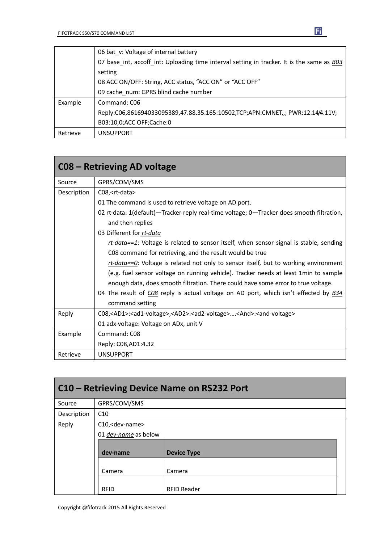|          | 06 bat v: Voltage of internal battery                                                      |  |  |
|----------|--------------------------------------------------------------------------------------------|--|--|
|          | 07 base int, accoff int: Uploading time interval setting in tracker. It is the same as B03 |  |  |
|          | setting                                                                                    |  |  |
|          | 08 ACC ON/OFF: String, ACC status, "ACC ON" or "ACC OFF"                                   |  |  |
|          | 09 cache num: GPRS blind cache number                                                      |  |  |
| Example  | Command: C06                                                                               |  |  |
|          | Reply:C06,861694033095389,47.88.35.165:10502,TCP;APN:CMNET,,; PWR:12.14/4.11V;             |  |  |
|          | B03:10,0;ACC OFF;Cache:0                                                                   |  |  |
| Retrieve | <b>UNSUPPORT</b>                                                                           |  |  |

|             | C08 – Retrieving AD voltage                                                                                                 |  |  |
|-------------|-----------------------------------------------------------------------------------------------------------------------------|--|--|
| Source      | GPRS/COM/SMS                                                                                                                |  |  |
| Description | C08, <rt-data></rt-data>                                                                                                    |  |  |
|             | 01 The command is used to retrieve voltage on AD port.                                                                      |  |  |
|             | 02 rt-data: 1(default)—Tracker reply real-time voltage; 0—Tracker does smooth filtration,                                   |  |  |
|             | and then replies                                                                                                            |  |  |
|             | 03 Different for rt-data                                                                                                    |  |  |
|             | rt-data==1: Voltage is related to sensor itself, when sensor signal is stable, sending                                      |  |  |
|             | C08 command for retrieving, and the result would be true                                                                    |  |  |
|             | rt-data== $Q$ : Voltage is related not only to sensor itself, but to working environment                                    |  |  |
|             | (e.g. fuel sensor voltage on running vehicle). Tracker needs at least 1min to sample                                        |  |  |
|             | enough data, does smooth filtration. There could have some error to true voltage.                                           |  |  |
|             | 04 The result of CO8 reply is actual voltage on AD port, which isn't effected by B34                                        |  |  |
|             | command setting                                                                                                             |  |  |
| Reply       | C08, <ad1>:<ad1-voltage>,<ad2>:<ad2-voltage><and>:<and-voltage></and-voltage></and></ad2-voltage></ad2></ad1-voltage></ad1> |  |  |
|             | 01 adx-voltage: Voltage on ADx, unit V                                                                                      |  |  |
| Example     | Command: C08                                                                                                                |  |  |
|             | Reply: C08, AD1: 4.32                                                                                                       |  |  |
| Retrieve    | <b>UNSUPPORT</b>                                                                                                            |  |  |

| C10 – Retrieving Device Name on RS232 Port |                            |                    |  |
|--------------------------------------------|----------------------------|--------------------|--|
| Source                                     | GPRS/COM/SMS               |                    |  |
| Description                                | C10                        |                    |  |
| Reply                                      | C10, <dev-name></dev-name> |                    |  |
|                                            | 01 dev-name as below       |                    |  |
|                                            | dev-name                   | <b>Device Type</b> |  |
|                                            | Camera                     | Camera             |  |
|                                            | <b>RFID</b>                | <b>RFID Reader</b> |  |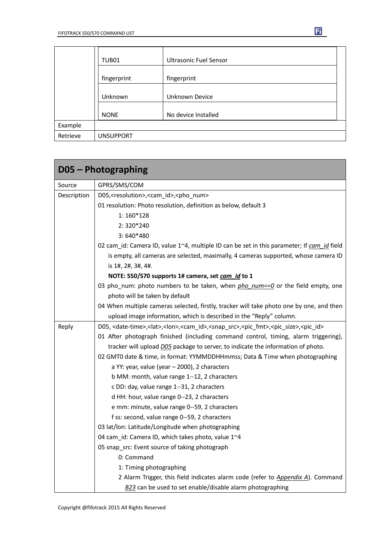|          | TUB01            | <b>Ultrasonic Fuel Sensor</b> |
|----------|------------------|-------------------------------|
|          | fingerprint      | fingerprint                   |
|          | Unknown          | Unknown Device                |
|          | <b>NONE</b>      | No device Installed           |
| Example  |                  |                               |
| Retrieve | <b>UNSUPPORT</b> |                               |

|             | D05 - Photographing                                                                                                                                      |  |  |
|-------------|----------------------------------------------------------------------------------------------------------------------------------------------------------|--|--|
| Source      | GPRS/SMS/COM                                                                                                                                             |  |  |
| Description | D05, <resolution>,<cam_id>,<pho_num></pho_num></cam_id></resolution>                                                                                     |  |  |
|             | 01 resolution: Photo resolution, definition as below, default 3                                                                                          |  |  |
|             | $1:160*128$                                                                                                                                              |  |  |
|             | $2:320*240$                                                                                                                                              |  |  |
|             | $3:640*480$                                                                                                                                              |  |  |
|             | 02 cam_id: Camera ID, value 1~4, multiple ID can be set in this parameter; If cam_id field                                                               |  |  |
|             | is empty, all cameras are selected, maximally, 4 cameras supported, whose camera ID                                                                      |  |  |
|             | is 1#, 2#, 3#, 4#.                                                                                                                                       |  |  |
|             | NOTE: S50/S70 supports 1# camera, set cam_id to 1                                                                                                        |  |  |
|             | 03 pho_num: photo numbers to be taken, when $pho$ num== $0$ or the field empty, one                                                                      |  |  |
|             | photo will be taken by default                                                                                                                           |  |  |
|             | 04 When multiple cameras selected, firstly, tracker will take photo one by one, and then                                                                 |  |  |
|             | upload image information, which is described in the "Reply" column.                                                                                      |  |  |
| Reply       | D05, <date-time>,<lat>,<lon>,<cam_id>,<snap_src>,<pic_fmt>,<pic_size>,<pic_id></pic_id></pic_size></pic_fmt></snap_src></cam_id></lon></lat></date-time> |  |  |
|             | 01 After photograph finished (including command control, timing, alarm triggering),                                                                      |  |  |
|             | tracker will upload DO5 package to server, to indicate the information of photo.                                                                         |  |  |
|             | 02 GMT0 date & time, in format: YYMMDDHHmmss; Data & Time when photographing                                                                             |  |  |
|             | a YY: year, value (year - 2000), 2 characters                                                                                                            |  |  |
|             | b MM: month, value range 1--12, 2 characters                                                                                                             |  |  |
|             | c DD: day, value range 1--31, 2 characters                                                                                                               |  |  |
|             | d HH: hour, value range 0--23, 2 characters                                                                                                              |  |  |
|             | e mm: minute, value range 0--59, 2 characters                                                                                                            |  |  |
|             | f ss: second, value range 0--59, 2 characters                                                                                                            |  |  |
|             | 03 lat/lon: Latitude/Longitude when photographing                                                                                                        |  |  |
|             | 04 cam_id: Camera ID, which takes photo, value 1~4                                                                                                       |  |  |
|             | 05 snap_src: Event source of taking photograph                                                                                                           |  |  |
|             | 0: Command                                                                                                                                               |  |  |
|             | 1: Timing photographing                                                                                                                                  |  |  |
|             | 2 Alarm Trigger, this field indicates alarm code (refer to Appendix A). Command                                                                          |  |  |
|             | B23 can be used to set enable/disable alarm photographing                                                                                                |  |  |

Ei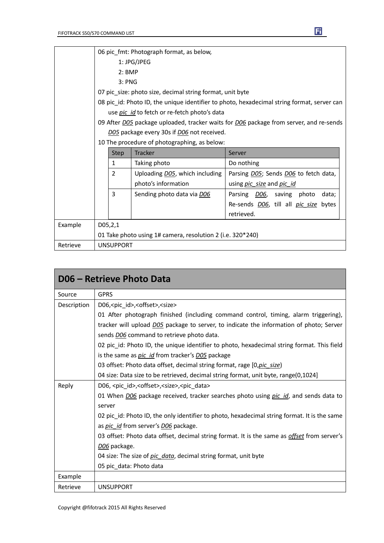|         | 06 pic_fmt: Photograph format, as below,                                                             |                |                                                            |                                                      |  |
|---------|------------------------------------------------------------------------------------------------------|----------------|------------------------------------------------------------|------------------------------------------------------|--|
|         | 1: JPG/JPEG                                                                                          |                |                                                            |                                                      |  |
|         | $2:$ BMP                                                                                             |                |                                                            |                                                      |  |
|         | 3: PNG                                                                                               |                |                                                            |                                                      |  |
|         | 07 pic_size: photo size, decimal string format, unit byte                                            |                |                                                            |                                                      |  |
|         | 08 pic_id: Photo ID, the unique identifier to photo, hexadecimal string format, server can           |                |                                                            |                                                      |  |
|         | use pic_id to fetch or re-fetch photo's data                                                         |                |                                                            |                                                      |  |
|         | 09 After <i>DO5</i> package uploaded, tracker waits for <i>DO6</i> package from server, and re-sends |                |                                                            |                                                      |  |
|         | D05 package every 30s if D06 not received.                                                           |                |                                                            |                                                      |  |
|         | 10 The procedure of photographing, as below:                                                         |                |                                                            |                                                      |  |
|         |                                                                                                      | <b>Step</b>    | <b>Tracker</b>                                             | Server                                               |  |
|         |                                                                                                      |                |                                                            |                                                      |  |
|         |                                                                                                      | $\mathbf{1}$   | Taking photo                                               | Do nothing                                           |  |
|         |                                                                                                      | $\overline{2}$ | Uploading D05, which including                             | Parsing D05; Sends D06 to fetch data,                |  |
|         |                                                                                                      |                | photo's information                                        | using <i>pic size</i> and <i>pic id</i>              |  |
|         |                                                                                                      | 3              | Sending photo data via D06                                 | Parsing DO6, saving photo<br>data;                   |  |
|         |                                                                                                      |                |                                                            | Re-sends <i>DO6</i> , till all <i>pic_size</i> bytes |  |
|         |                                                                                                      |                |                                                            | retrieved.                                           |  |
| Example |                                                                                                      | D05, 2, 1      |                                                            |                                                      |  |
|         |                                                                                                      |                | 01 Take photo using 1# camera, resolution 2 (i.e. 320*240) |                                                      |  |

|             | D06 - Retrieve Photo Data                                                                           |
|-------------|-----------------------------------------------------------------------------------------------------|
| Source      | <b>GPRS</b>                                                                                         |
| Description | D06, <pic id="">,<offset>,<size></size></offset></pic>                                              |
|             | 01 After photograph finished (including command control, timing, alarm triggering),                 |
|             | tracker will upload <i>D05</i> package to server, to indicate the information of photo; Server      |
|             | sends <b>DO6</b> command to retrieve photo data.                                                    |
|             | 02 pic_id: Photo ID, the unique identifier to photo, hexadecimal string format. This field          |
|             | is the same as <i>pic id</i> from tracker's <i>D05</i> package                                      |
|             | 03 offset: Photo data offset, decimal string format, rage [0, pic size]                             |
|             | 04 size: Data size to be retrieved, decimal string format, unit byte, range(0,1024]                 |
| Reply       | D06, <pic_id>,<offset>,<size>,<pic_data></pic_data></size></offset></pic_id>                        |
|             | 01 When <i>DO6</i> package received, tracker searches photo using <i>pic id</i> , and sends data to |
|             | server                                                                                              |
|             | 02 pic_id: Photo ID, the only identifier to photo, hexadecimal string format. It is the same        |
|             | as <i>pic id</i> from server's <i>D06</i> package.                                                  |
|             | 03 offset: Photo data offset, decimal string format. It is the same as <i>offset</i> from server's  |
|             | D <sub>06</sub> package.                                                                            |
|             | 04 size: The size of pic data, decimal string format, unit byte                                     |
|             | 05 pic_data: Photo data                                                                             |
| Example     |                                                                                                     |
| Retrieve    | <b>UNSUPPORT</b>                                                                                    |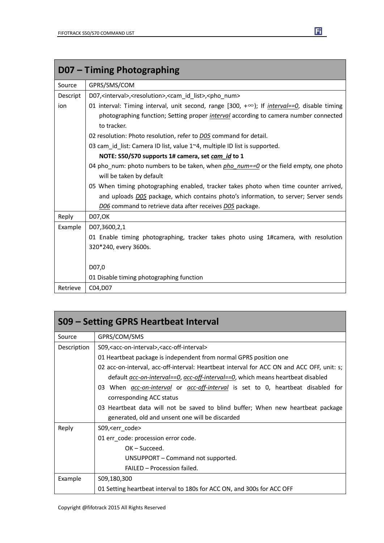|          | D07 – Timing Photographing                                                                                 |  |  |  |  |  |
|----------|------------------------------------------------------------------------------------------------------------|--|--|--|--|--|
| Source   | GPRS/SMS/COM                                                                                               |  |  |  |  |  |
| Descript | D07, <interval>,<resolution>,<cam id="" list="">,<pho num=""></pho></cam></resolution></interval>          |  |  |  |  |  |
| ion      | 01 interval: Timing interval, unit second, range [300, $+\infty$ ); If <i>interval==0</i> , disable timing |  |  |  |  |  |
|          | photographing function; Setting proper <i>interval</i> according to camera number connected                |  |  |  |  |  |
|          | to tracker.                                                                                                |  |  |  |  |  |
|          | 02 resolution: Photo resolution, refer to <b>D05</b> command for detail.                                   |  |  |  |  |  |
|          | 03 cam id list: Camera ID list, value 1~4, multiple ID list is supported.                                  |  |  |  |  |  |
|          | NOTE: S50/S70 supports 1# camera, set cam_id to 1                                                          |  |  |  |  |  |
|          | 04 pho_num: photo numbers to be taken, when $pho$ num== $0$ or the field empty, one photo                  |  |  |  |  |  |
|          | will be taken by default                                                                                   |  |  |  |  |  |
|          | 05 When timing photographing enabled, tracker takes photo when time counter arrived,                       |  |  |  |  |  |
|          | and uploads DO5 package, which contains photo's information, to server; Server sends                       |  |  |  |  |  |
|          | D06 command to retrieve data after receives D05 package.                                                   |  |  |  |  |  |
| Reply    | <b>D07,OK</b>                                                                                              |  |  |  |  |  |
| Example  | D07,3600,2,1                                                                                               |  |  |  |  |  |
|          | 01 Enable timing photographing, tracker takes photo using 1#camera, with resolution                        |  |  |  |  |  |
|          | 320*240, every 3600s.                                                                                      |  |  |  |  |  |
|          |                                                                                                            |  |  |  |  |  |
|          | D07,0                                                                                                      |  |  |  |  |  |
|          | 01 Disable timing photographing function                                                                   |  |  |  |  |  |
| Retrieve | C04, D07                                                                                                   |  |  |  |  |  |

| S09 – Setting GPRS Heartbeat Interval                                                   |                                                                                               |  |  |  |
|-----------------------------------------------------------------------------------------|-----------------------------------------------------------------------------------------------|--|--|--|
| Source                                                                                  | GPRS/COM/SMS                                                                                  |  |  |  |
| Description                                                                             | S09, <acc-on-interval>, <acc-off-interval></acc-off-interval></acc-on-interval>               |  |  |  |
|                                                                                         | 01 Heartbeat package is independent from normal GPRS position one                             |  |  |  |
|                                                                                         | 02 acc-on-interval, acc-off-interval: Heartbeat interval for ACC ON and ACC OFF, unit: s;     |  |  |  |
| default <i>acc-on-interval==0, acc-off-interval==0</i> , which means heartbeat disabled |                                                                                               |  |  |  |
|                                                                                         | 03 When <i>acc-on-interval</i> or <i>acc-off-interval</i> is set to 0, heartbeat disabled for |  |  |  |
| corresponding ACC status                                                                |                                                                                               |  |  |  |
|                                                                                         | 03 Heartbeat data will not be saved to blind buffer; When new heartbeat package               |  |  |  |
|                                                                                         | generated, old and unsent one will be discarded                                               |  |  |  |
| Reply                                                                                   | S09, <err code=""></err>                                                                      |  |  |  |
|                                                                                         | 01 err_code: procession error code.                                                           |  |  |  |
|                                                                                         | $OK - Succeed.$                                                                               |  |  |  |
|                                                                                         | UNSUPPORT - Command not supported.                                                            |  |  |  |
|                                                                                         | FAILED - Procession failed.                                                                   |  |  |  |
| Example                                                                                 | S09,180,300                                                                                   |  |  |  |
|                                                                                         | 01 Setting heartbeat interval to 180s for ACC ON, and 300s for ACC OFF                        |  |  |  |

団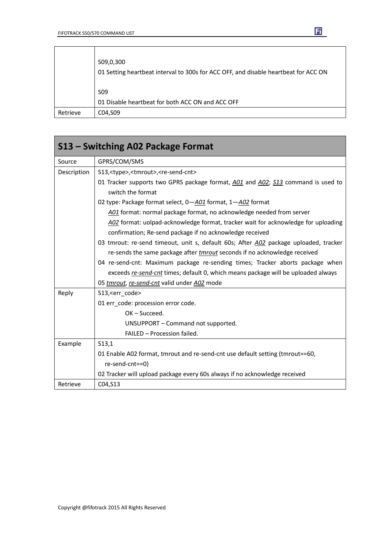$\overline{\phantom{a}}$ 

 $\overline{1}$ 

|          | S09,0,300<br>01 Setting heartbeat interval to 300s for ACC OFF, and disable heartbeat for ACC ON |
|----------|--------------------------------------------------------------------------------------------------|
|          | S <sub>09</sub>                                                                                  |
|          | 01 Disable heartbeat for both ACC ON and ACC OFF                                                 |
| Retrieve | C04, S09                                                                                         |

| S13 – Switching A02 Package Format |                                                                                                       |  |  |  |
|------------------------------------|-------------------------------------------------------------------------------------------------------|--|--|--|
| Source                             | GPRS/COM/SMS                                                                                          |  |  |  |
| Description                        | S13, <type>,<tmrout>,<re-send-cnt></re-send-cnt></tmrout></type>                                      |  |  |  |
|                                    | 01 Tracker supports two GPRS package format, A01 and A02; S13 command is used to<br>switch the format |  |  |  |
|                                    | 02 type: Package format select, 0-A01 format, 1-A02 format                                            |  |  |  |
|                                    | A01 format: normal package format, no acknowledge needed from server                                  |  |  |  |
|                                    | A02 format: uolpad-acknowledge format, tracker wait for acknowledge for uploading                     |  |  |  |
|                                    | confirmation; Re-send package if no acknowledge received                                              |  |  |  |
|                                    | 03 tmrout: re-send timeout, unit s, default 60s; After A02 package uploaded, tracker                  |  |  |  |
|                                    | re-sends the same package after <i>tmrout</i> seconds if no acknowledge received                      |  |  |  |
|                                    | 04 re-send-cnt: Maximum package re-sending times; Tracker aborts package when                         |  |  |  |
|                                    | exceeds re-send-cnt times; default 0, which means package will be uploaded always                     |  |  |  |
|                                    | 05 tmrout, re-send-cnt valid under A02 mode                                                           |  |  |  |
| Reply                              | S13, <err code=""></err>                                                                              |  |  |  |
|                                    | 01 err_code: procession error code.                                                                   |  |  |  |
|                                    | OK-Succeed.                                                                                           |  |  |  |
|                                    | UNSUPPORT - Command not supported.                                                                    |  |  |  |
|                                    | FAILED - Procession failed.                                                                           |  |  |  |
| Example                            | S13,1                                                                                                 |  |  |  |
|                                    | 01 Enable A02 format, tmrout and re-send-cnt use default setting (tmrout==60,                         |  |  |  |
|                                    | re-send-cnt==0)                                                                                       |  |  |  |
|                                    | 02 Tracker will upload package every 60s always if no acknowledge received                            |  |  |  |
| Retrieve                           | C04, S13                                                                                              |  |  |  |